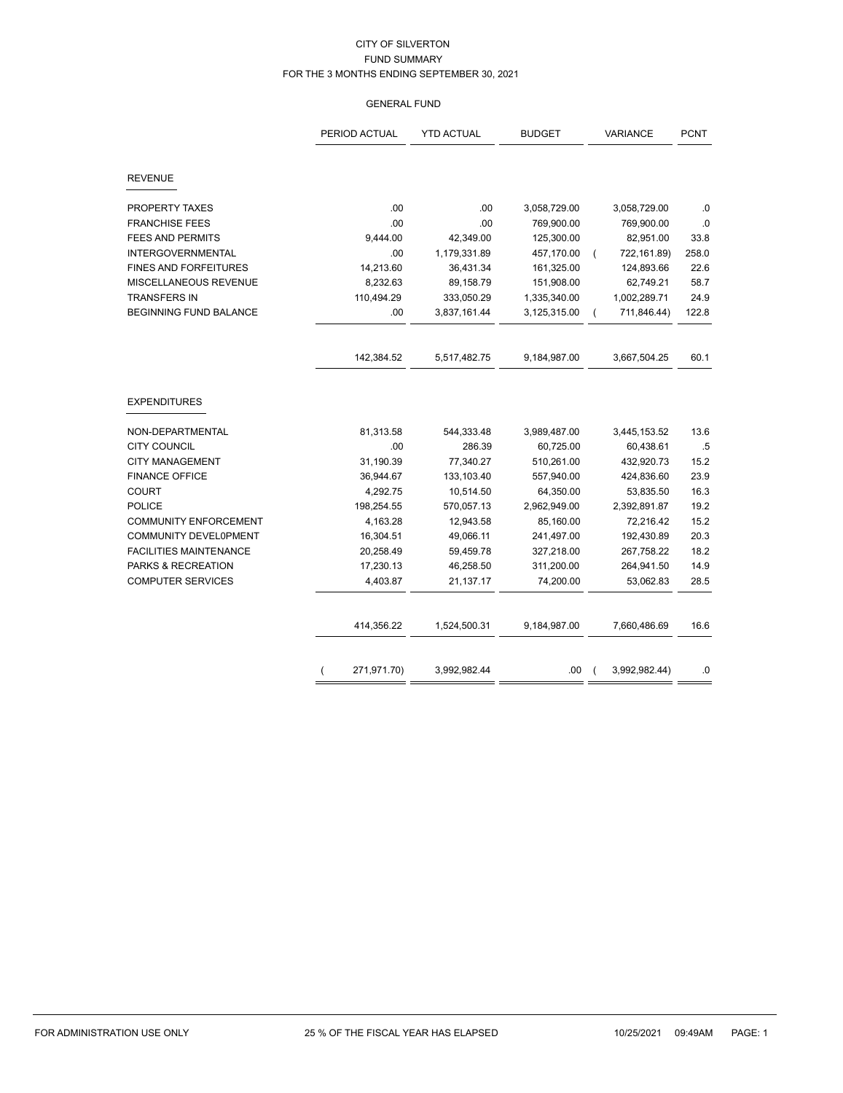# GENERAL FUND

|                               | PERIOD ACTUAL | <b>YTD ACTUAL</b> | <b>BUDGET</b> | VARIANCE                      | <b>PCNT</b> |
|-------------------------------|---------------|-------------------|---------------|-------------------------------|-------------|
| <b>REVENUE</b>                |               |                   |               |                               |             |
| PROPERTY TAXES                | .00           | .00               | 3,058,729.00  | 3,058,729.00                  | $\cdot$ 0   |
| <b>FRANCHISE FEES</b>         | .00           | .00               | 769,900.00    | 769,900.00                    | .0          |
| <b>FEES AND PERMITS</b>       | 9,444.00      | 42,349.00         | 125,300.00    | 82,951.00                     | 33.8        |
| <b>INTERGOVERNMENTAL</b>      | .00           | 1,179,331.89      | 457,170.00    | 722, 161.89)                  | 258.0       |
| <b>FINES AND FORFEITURES</b>  | 14,213.60     | 36,431.34         | 161,325.00    | 124,893.66                    | 22.6        |
| MISCELLANEOUS REVENUE         | 8,232.63      | 89,158.79         | 151,908.00    | 62,749.21                     | 58.7        |
| <b>TRANSFERS IN</b>           | 110,494.29    | 333,050.29        | 1,335,340.00  | 1,002,289.71                  | 24.9        |
| <b>BEGINNING FUND BALANCE</b> | .00           | 3,837,161.44      | 3,125,315.00  | 711,846.44)<br>$\overline{ }$ | 122.8       |
|                               |               |                   |               |                               |             |
|                               | 142,384.52    | 5,517,482.75      | 9,184,987.00  | 3,667,504.25                  | 60.1        |
| <b>EXPENDITURES</b>           |               |                   |               |                               |             |
| NON-DEPARTMENTAL              | 81,313.58     | 544,333.48        | 3,989,487.00  | 3,445,153.52                  | 13.6        |
| <b>CITY COUNCIL</b>           | .00           | 286.39            | 60,725.00     | 60,438.61                     | .5          |
| <b>CITY MANAGEMENT</b>        | 31,190.39     | 77,340.27         | 510,261.00    | 432,920.73                    | 15.2        |
| <b>FINANCE OFFICE</b>         | 36,944.67     | 133,103.40        | 557,940.00    | 424,836.60                    | 23.9        |
| <b>COURT</b>                  | 4,292.75      | 10,514.50         | 64,350.00     | 53,835.50                     | 16.3        |
| <b>POLICE</b>                 | 198,254.55    | 570,057.13        | 2,962,949.00  | 2,392,891.87                  | 19.2        |
| <b>COMMUNITY ENFORCEMENT</b>  | 4,163.28      | 12,943.58         | 85,160.00     | 72,216.42                     | 15.2        |
| COMMUNITY DEVEL0PMENT         | 16,304.51     | 49,066.11         | 241,497.00    | 192,430.89                    | 20.3        |
| <b>FACILITIES MAINTENANCE</b> | 20,258.49     | 59,459.78         | 327,218.00    | 267,758.22                    | 18.2        |
| PARKS & RECREATION            | 17,230.13     | 46,258.50         | 311,200.00    | 264,941.50                    | 14.9        |
| <b>COMPUTER SERVICES</b>      | 4,403.87      | 21,137.17         | 74,200.00     | 53,062.83                     | 28.5        |
|                               | 414,356.22    | 1,524,500.31      | 9,184,987.00  | 7,660,486.69                  | 16.6        |
|                               | 271,971.70)   | 3,992,982.44      | .00           | 3,992,982.44)                 | $\cdot$ 0   |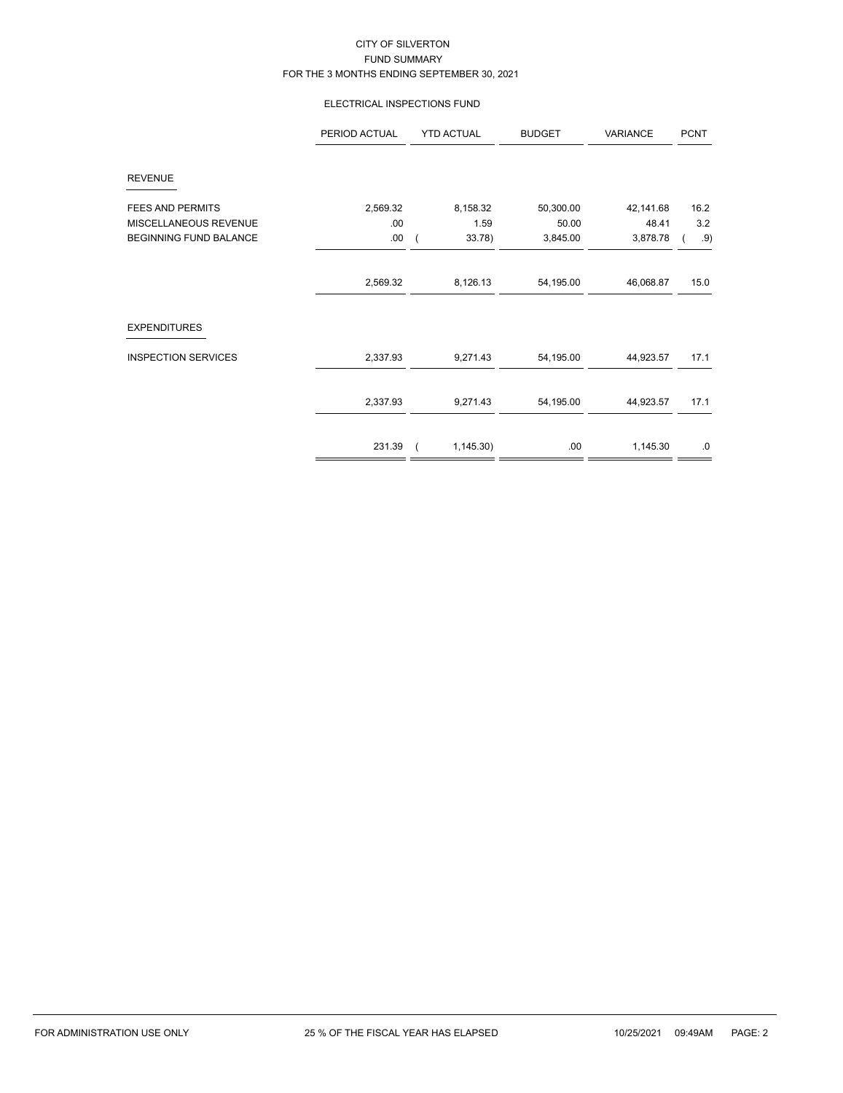## ELECTRICAL INSPECTIONS FUND

|                            | PERIOD ACTUAL |   | <b>YTD ACTUAL</b> | <b>BUDGET</b> | VARIANCE  | <b>PCNT</b> |
|----------------------------|---------------|---|-------------------|---------------|-----------|-------------|
| <b>REVENUE</b>             |               |   |                   |               |           |             |
| <b>FEES AND PERMITS</b>    | 2,569.32      |   | 8,158.32          | 50,300.00     | 42,141.68 | 16.2        |
| MISCELLANEOUS REVENUE      | .00           |   | 1.59              | 50.00         | 48.41     | 3.2         |
| BEGINNING FUND BALANCE     | .00           |   | 33.78             | 3,845.00      | 3,878.78  | .9)         |
|                            | 2,569.32      |   | 8,126.13          | 54,195.00     | 46,068.87 | 15.0        |
| <b>EXPENDITURES</b>        |               |   |                   |               |           |             |
| <b>INSPECTION SERVICES</b> | 2,337.93      |   | 9,271.43          | 54,195.00     | 44,923.57 | 17.1        |
|                            | 2,337.93      |   | 9,271.43          | 54,195.00     | 44,923.57 | 17.1        |
|                            | 231.39        | ( | 1,145.30          | .00.          | 1,145.30  | .0          |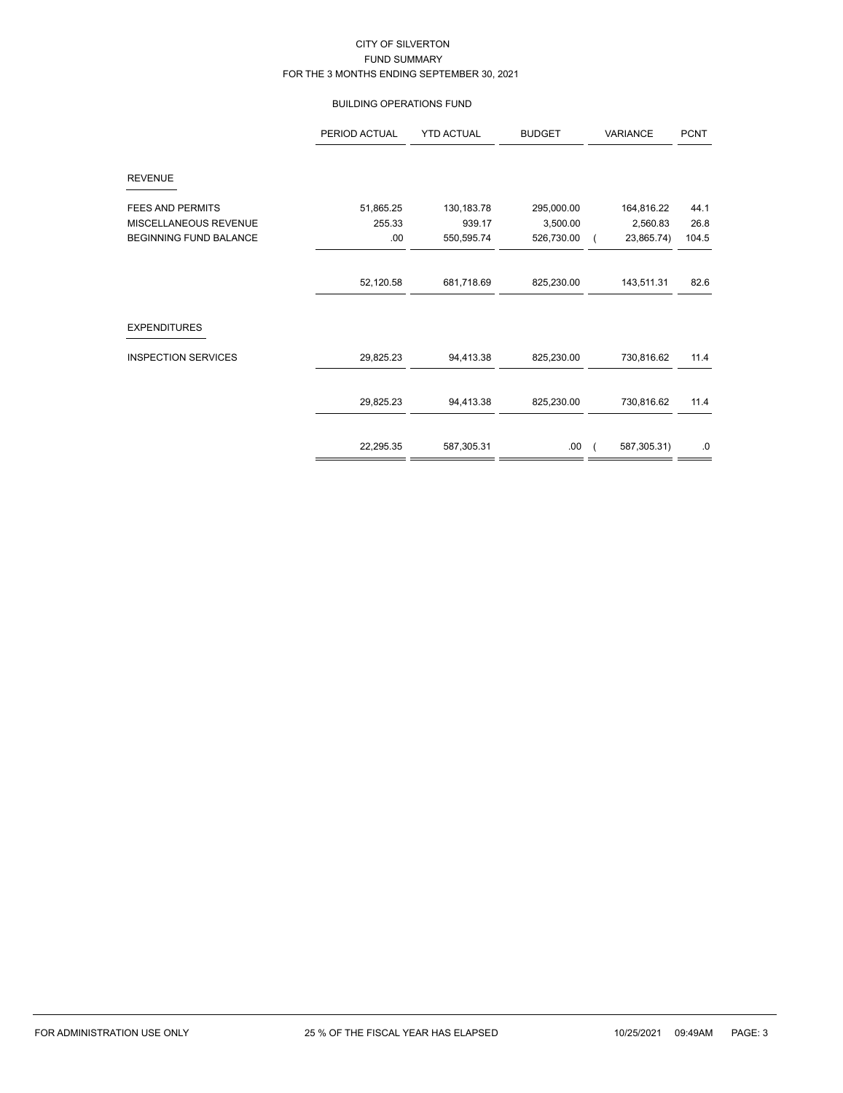### BUILDING OPERATIONS FUND

|                               | PERIOD ACTUAL | <b>YTD ACTUAL</b> | <b>BUDGET</b> | VARIANCE    | <b>PCNT</b> |
|-------------------------------|---------------|-------------------|---------------|-------------|-------------|
| <b>REVENUE</b>                |               |                   |               |             |             |
| <b>FEES AND PERMITS</b>       | 51,865.25     | 130, 183. 78      | 295,000.00    | 164,816.22  | 44.1        |
| MISCELLANEOUS REVENUE         | 255.33        | 939.17            | 3,500.00      | 2,560.83    | 26.8        |
| <b>BEGINNING FUND BALANCE</b> | .00           | 550,595.74        | 526,730.00    | 23,865.74)  | 104.5       |
|                               |               |                   |               |             |             |
|                               | 52,120.58     | 681,718.69        | 825,230.00    | 143,511.31  | 82.6        |
| <b>EXPENDITURES</b>           |               |                   |               |             |             |
| <b>INSPECTION SERVICES</b>    | 29,825.23     | 94,413.38         | 825,230.00    | 730,816.62  | 11.4        |
|                               | 29,825.23     | 94,413.38         | 825,230.00    | 730,816.62  | 11.4        |
|                               |               |                   |               |             |             |
|                               | 22,295.35     | 587,305.31        | .00           | 587,305.31) | .0          |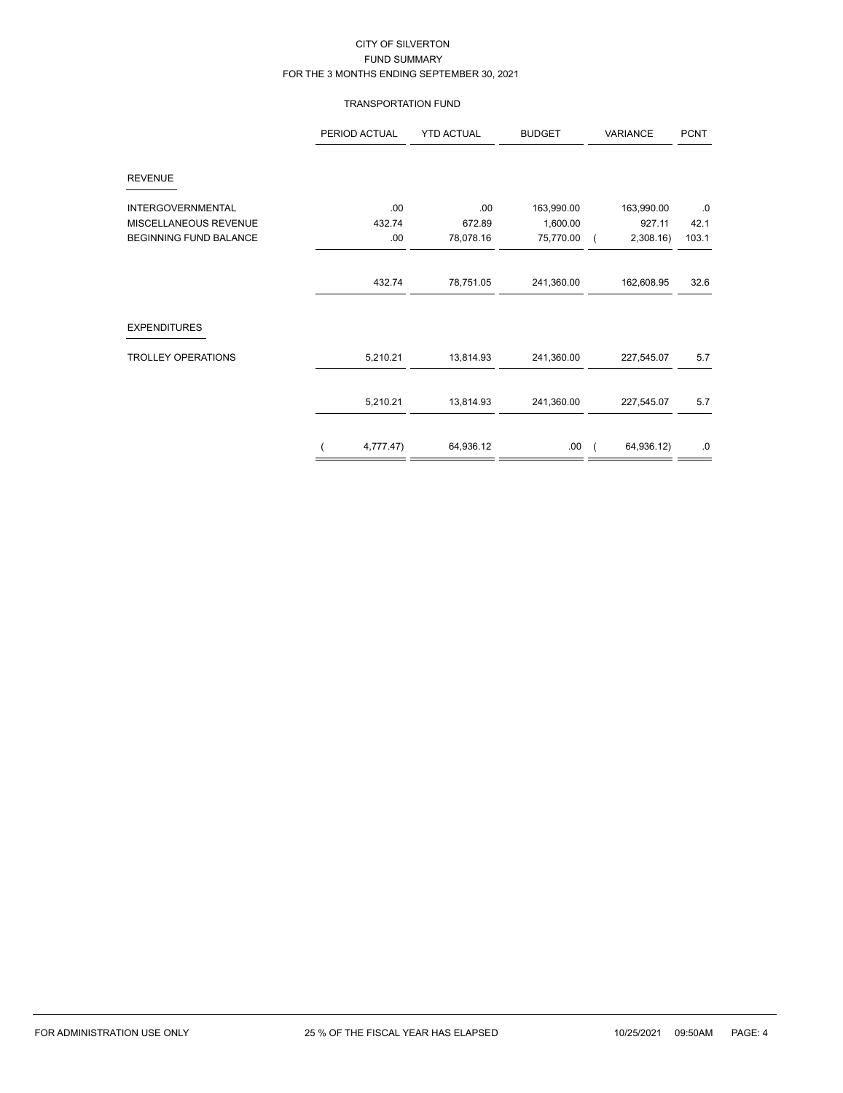## TRANSPORTATION FUND

|                               | PERIOD ACTUAL | <b>YTD ACTUAL</b> | <b>BUDGET</b> | VARIANCE   | <b>PCNT</b> |
|-------------------------------|---------------|-------------------|---------------|------------|-------------|
| <b>REVENUE</b>                |               |                   |               |            |             |
| <b>INTERGOVERNMENTAL</b>      | .00           | .00               | 163,990.00    | 163,990.00 | .0          |
| MISCELLANEOUS REVENUE         | 432.74        | 672.89            | 1,600.00      | 927.11     | 42.1        |
| <b>BEGINNING FUND BALANCE</b> | .00           | 78,078.16         | 75,770.00     | 2,308.16   | 103.1       |
|                               |               |                   |               |            |             |
|                               | 432.74        | 78,751.05         | 241,360.00    | 162,608.95 | 32.6        |
| <b>EXPENDITURES</b>           |               |                   |               |            |             |
| <b>TROLLEY OPERATIONS</b>     | 5,210.21      | 13,814.93         | 241,360.00    | 227,545.07 | 5.7         |
|                               | 5,210.21      | 13,814.93         | 241,360.00    | 227,545.07 | 5.7         |
|                               | 4,777.47)     | 64,936.12         | .00           | 64,936.12) | .0          |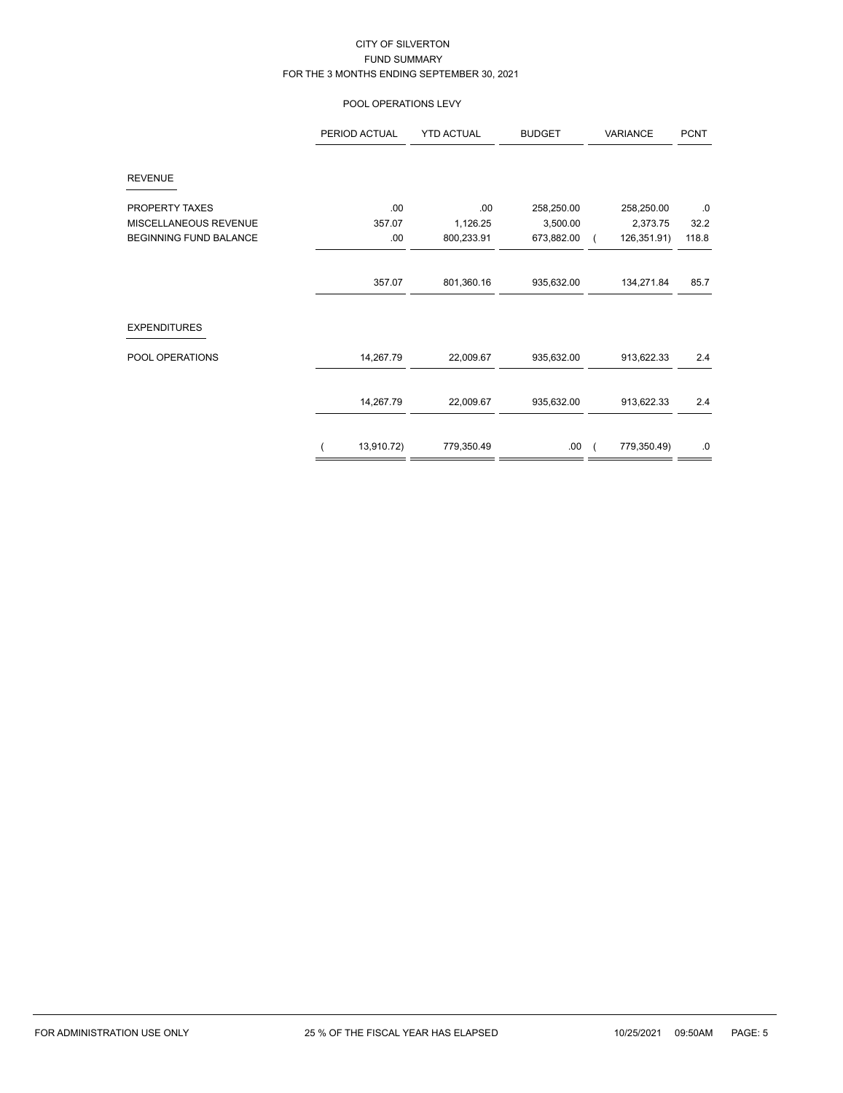# POOL OPERATIONS LEVY

|                        | PERIOD ACTUAL | <b>YTD ACTUAL</b> | <b>BUDGET</b> | VARIANCE    | <b>PCNT</b> |
|------------------------|---------------|-------------------|---------------|-------------|-------------|
| <b>REVENUE</b>         |               |                   |               |             |             |
| PROPERTY TAXES         | .00           | .00               | 258,250.00    | 258,250.00  | .0          |
| MISCELLANEOUS REVENUE  | 357.07        | 1,126.25          | 3,500.00      | 2,373.75    | 32.2        |
| BEGINNING FUND BALANCE | .00           | 800,233.91        | 673,882.00    | 126,351.91) | 118.8       |
|                        |               |                   |               |             |             |
|                        | 357.07        | 801,360.16        | 935,632.00    | 134,271.84  | 85.7        |
| <b>EXPENDITURES</b>    |               |                   |               |             |             |
| POOL OPERATIONS        | 14,267.79     | 22,009.67         | 935,632.00    | 913,622.33  | 2.4         |
|                        | 14,267.79     | 22,009.67         | 935,632.00    | 913,622.33  | 2.4         |
|                        | 13,910.72)    | 779,350.49        | .00.          | 779,350.49) | $.0\,$      |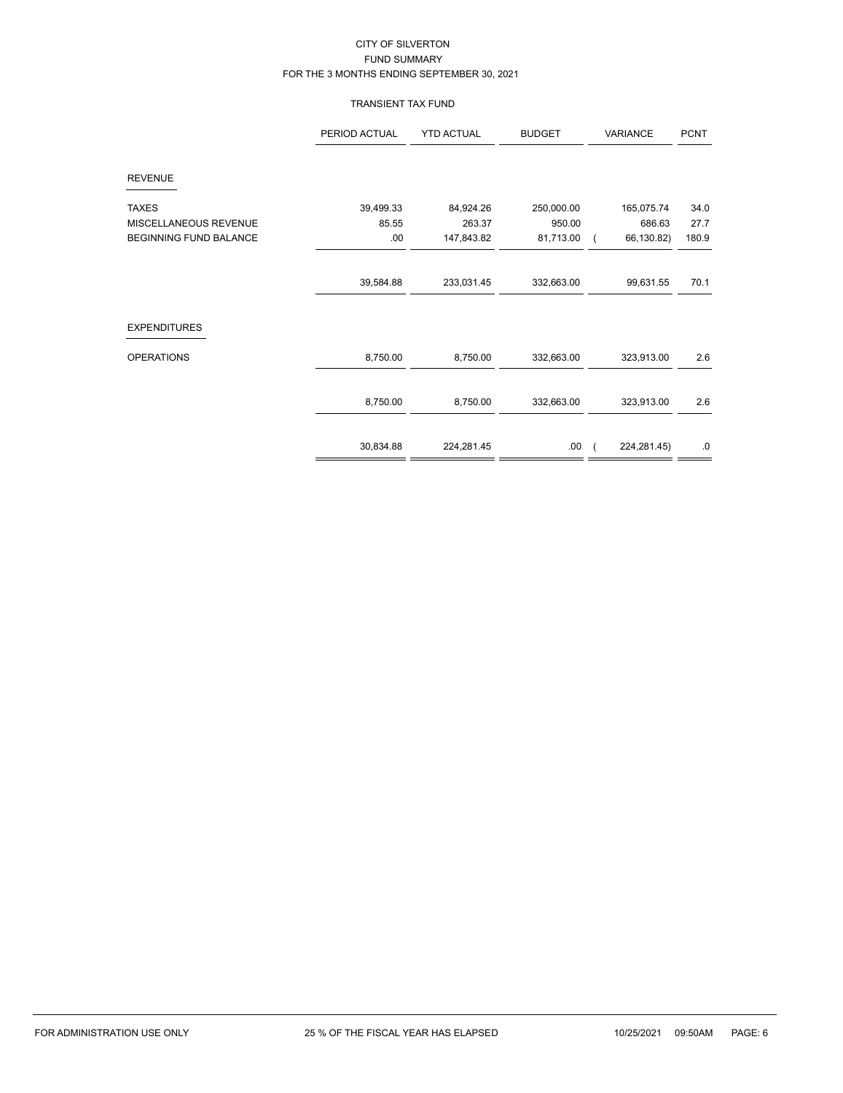# TRANSIENT TAX FUND

|                               | PERIOD ACTUAL | <b>YTD ACTUAL</b> | <b>BUDGET</b> | VARIANCE    | <b>PCNT</b> |
|-------------------------------|---------------|-------------------|---------------|-------------|-------------|
| <b>REVENUE</b>                |               |                   |               |             |             |
| <b>TAXES</b>                  | 39,499.33     | 84,924.26         | 250,000.00    | 165,075.74  | 34.0        |
| MISCELLANEOUS REVENUE         | 85.55         | 263.37            | 950.00        | 686.63      | 27.7        |
| <b>BEGINNING FUND BALANCE</b> | .00           | 147,843.82        | 81,713.00     | 66,130.82)  | 180.9       |
|                               |               |                   |               |             |             |
|                               | 39,584.88     | 233,031.45        | 332,663.00    | 99,631.55   | 70.1        |
| <b>EXPENDITURES</b>           |               |                   |               |             |             |
|                               |               |                   |               |             |             |
| <b>OPERATIONS</b>             | 8,750.00      | 8,750.00          | 332,663.00    | 323,913.00  | 2.6         |
|                               |               |                   |               |             |             |
|                               | 8,750.00      | 8,750.00          | 332,663.00    | 323,913.00  | 2.6         |
|                               |               |                   |               |             |             |
|                               | 30,834.88     | 224,281.45        | .00.          | 224,281.45) | .0          |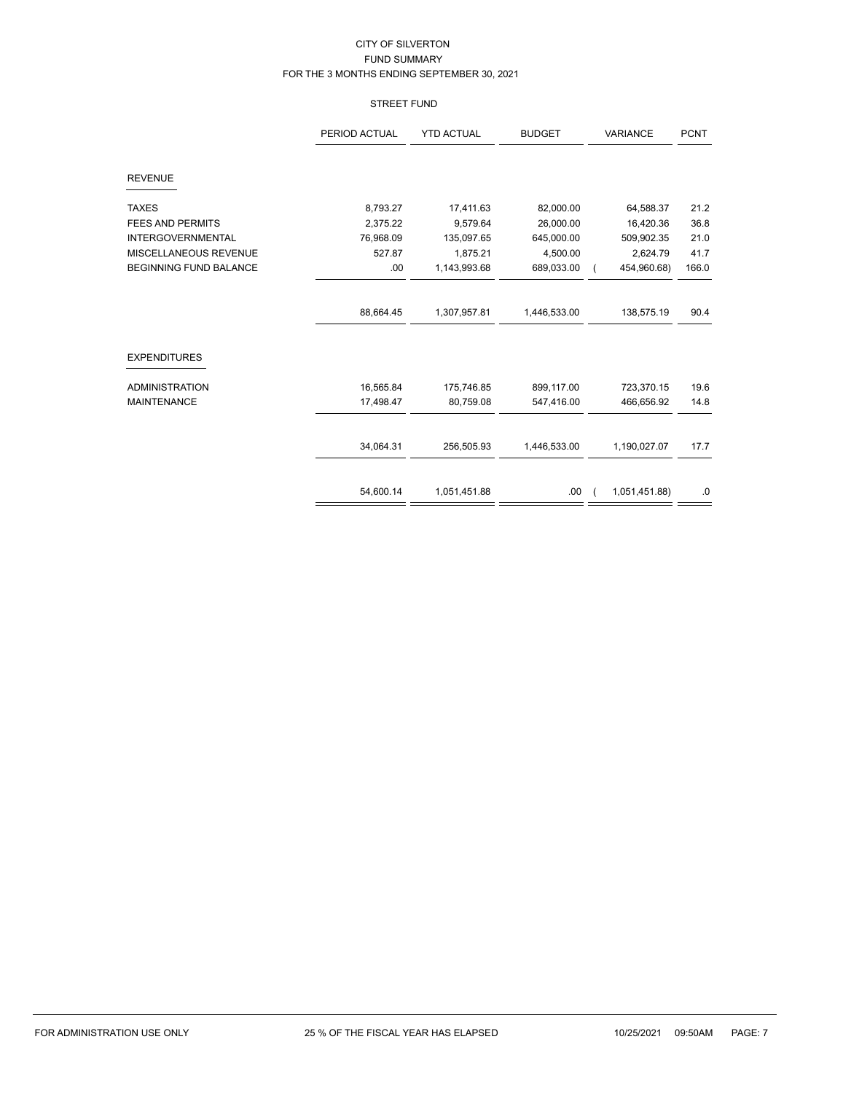# STREET FUND

|                               | PERIOD ACTUAL | <b>YTD ACTUAL</b> | <b>BUDGET</b> | <b>VARIANCE</b> | <b>PCNT</b> |
|-------------------------------|---------------|-------------------|---------------|-----------------|-------------|
| <b>REVENUE</b>                |               |                   |               |                 |             |
| <b>TAXES</b>                  | 8,793.27      | 17,411.63         | 82,000.00     | 64,588.37       | 21.2        |
| <b>FEES AND PERMITS</b>       | 2,375.22      | 9,579.64          | 26,000.00     | 16,420.36       | 36.8        |
| <b>INTERGOVERNMENTAL</b>      | 76,968.09     | 135,097.65        | 645,000.00    | 509,902.35      | 21.0        |
| MISCELLANEOUS REVENUE         | 527.87        | 1,875.21          | 4,500.00      | 2,624.79        | 41.7        |
| <b>BEGINNING FUND BALANCE</b> | .00           | 1,143,993.68      | 689,033.00    | 454,960.68)     | 166.0       |
|                               | 88,664.45     | 1,307,957.81      | 1,446,533.00  | 138,575.19      | 90.4        |
| <b>EXPENDITURES</b>           |               |                   |               |                 |             |
| <b>ADMINISTRATION</b>         | 16,565.84     | 175,746.85        | 899,117.00    | 723,370.15      | 19.6        |
| <b>MAINTENANCE</b>            | 17,498.47     | 80,759.08         | 547,416.00    | 466,656.92      | 14.8        |
|                               | 34,064.31     | 256,505.93        | 1,446,533.00  | 1,190,027.07    | 17.7        |
|                               | 54,600.14     | 1,051,451.88      | .00           | 1,051,451.88)   | .0          |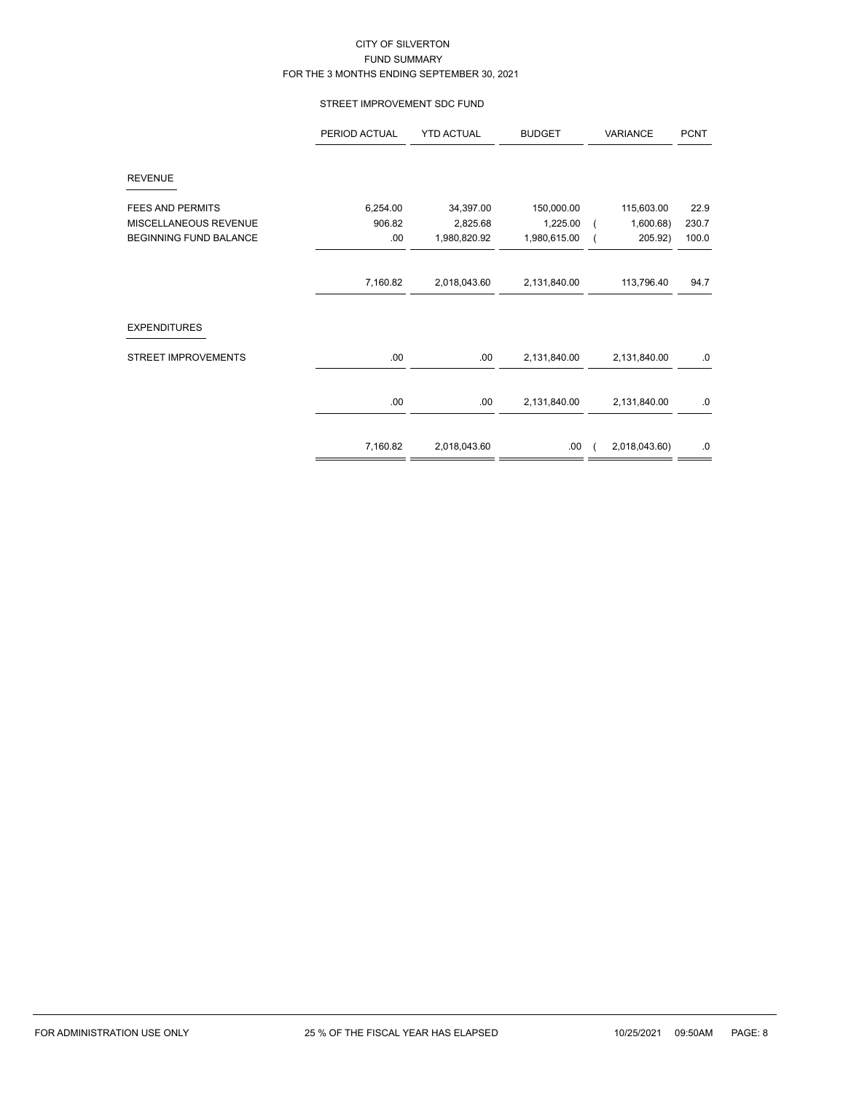## STREET IMPROVEMENT SDC FUND

|                               | PERIOD ACTUAL | <b>YTD ACTUAL</b> | <b>BUDGET</b> | VARIANCE      | <b>PCNT</b> |
|-------------------------------|---------------|-------------------|---------------|---------------|-------------|
| <b>REVENUE</b>                |               |                   |               |               |             |
| <b>FEES AND PERMITS</b>       | 6,254.00      | 34,397.00         | 150,000.00    | 115,603.00    | 22.9        |
| MISCELLANEOUS REVENUE         | 906.82        | 2,825.68          | 1,225.00      | 1,600.68)     | 230.7       |
| <b>BEGINNING FUND BALANCE</b> | .00           | 1,980,820.92      | 1,980,615.00  | 205.92)       | 100.0       |
|                               |               |                   |               |               |             |
|                               | 7,160.82      | 2,018,043.60      | 2,131,840.00  | 113,796.40    | 94.7        |
| <b>EXPENDITURES</b>           |               |                   |               |               |             |
| <b>STREET IMPROVEMENTS</b>    | .00           | .00               | 2,131,840.00  | 2,131,840.00  | .0          |
|                               | .00           | .00               | 2,131,840.00  | 2,131,840.00  | .0          |
|                               | 7,160.82      | 2,018,043.60      | .00           | 2,018,043.60) | .0          |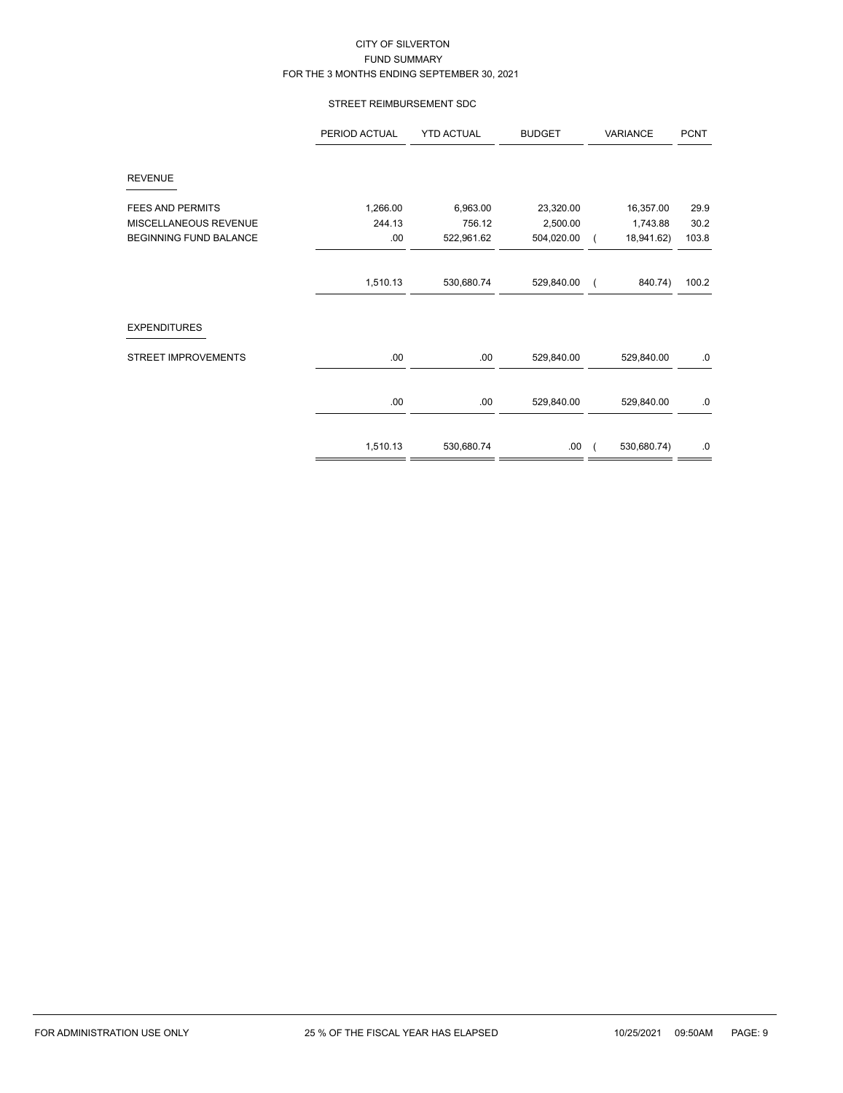### STREET REIMBURSEMENT SDC

|                               | PERIOD ACTUAL | <b>YTD ACTUAL</b> | <b>BUDGET</b> | VARIANCE    | <b>PCNT</b> |
|-------------------------------|---------------|-------------------|---------------|-------------|-------------|
| <b>REVENUE</b>                |               |                   |               |             |             |
| <b>FEES AND PERMITS</b>       | 1,266.00      | 6,963.00          | 23,320.00     | 16,357.00   | 29.9        |
| MISCELLANEOUS REVENUE         | 244.13        | 756.12            | 2,500.00      | 1,743.88    | 30.2        |
| <b>BEGINNING FUND BALANCE</b> | .00           | 522,961.62        | 504,020.00    | 18,941.62)  | 103.8       |
|                               |               |                   |               |             |             |
|                               | 1,510.13      | 530,680.74        | 529,840.00    | 840.74)     | 100.2       |
| <b>EXPENDITURES</b>           |               |                   |               |             |             |
| <b>STREET IMPROVEMENTS</b>    | .00.          | .00               | 529,840.00    | 529,840.00  | .0          |
|                               | .00           | .00               | 529,840.00    | 529,840.00  | 0.          |
|                               |               |                   |               |             |             |
|                               | 1,510.13      | 530,680.74        | .00.          | 530,680.74) | .0          |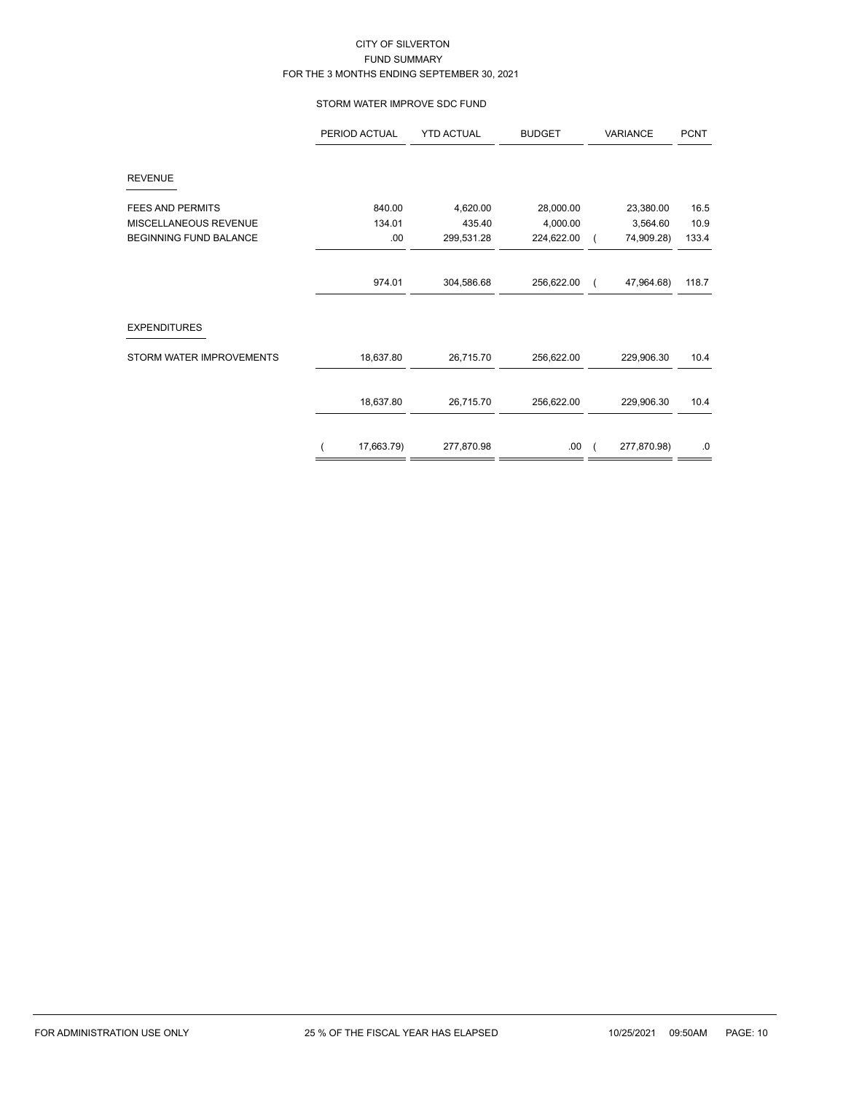## STORM WATER IMPROVE SDC FUND

|                               | PERIOD ACTUAL | <b>YTD ACTUAL</b> | <b>BUDGET</b> | VARIANCE    | <b>PCNT</b> |
|-------------------------------|---------------|-------------------|---------------|-------------|-------------|
| <b>REVENUE</b>                |               |                   |               |             |             |
| <b>FEES AND PERMITS</b>       | 840.00        | 4,620.00          | 28,000.00     | 23,380.00   | 16.5        |
| MISCELLANEOUS REVENUE         | 134.01        | 435.40            | 4,000.00      | 3,564.60    | 10.9        |
| <b>BEGINNING FUND BALANCE</b> | .00           | 299,531.28        | 224,622.00    | 74,909.28)  | 133.4       |
|                               |               |                   |               |             | 118.7       |
|                               | 974.01        | 304,586.68        | 256,622.00    | 47,964.68)  |             |
| <b>EXPENDITURES</b>           |               |                   |               |             |             |
| STORM WATER IMPROVEMENTS      | 18,637.80     | 26,715.70         | 256,622.00    | 229,906.30  | 10.4        |
|                               | 18,637.80     | 26,715.70         | 256,622.00    | 229,906.30  | 10.4        |
|                               | 17,663.79)    | 277,870.98        | .00           | 277,870.98) | $.0\,$      |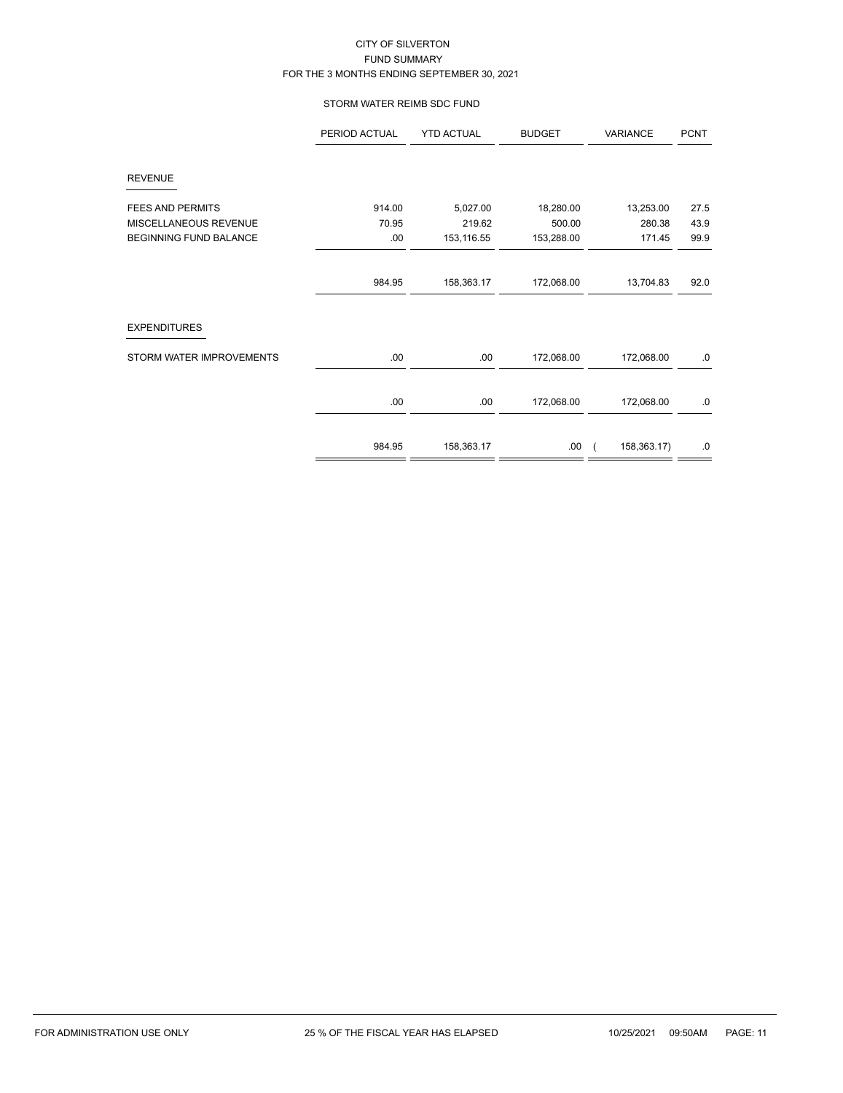## STORM WATER REIMB SDC FUND

|                               | PERIOD ACTUAL | <b>YTD ACTUAL</b> | <b>BUDGET</b> | VARIANCE                  | <b>PCNT</b> |
|-------------------------------|---------------|-------------------|---------------|---------------------------|-------------|
| <b>REVENUE</b>                |               |                   |               |                           |             |
| <b>FEES AND PERMITS</b>       | 914.00        | 5,027.00          | 18,280.00     | 13,253.00                 | 27.5        |
| MISCELLANEOUS REVENUE         | 70.95         | 219.62            | 500.00        | 280.38                    | 43.9        |
| <b>BEGINNING FUND BALANCE</b> | .00           | 153,116.55        | 153,288.00    | 171.45                    | 99.9        |
|                               | 984.95        | 158,363.17        | 172,068.00    | 13,704.83                 | 92.0        |
| <b>EXPENDITURES</b>           |               |                   |               |                           |             |
| STORM WATER IMPROVEMENTS      | .00.          | .00               | 172,068.00    | 172,068.00                | .0          |
|                               | .00.          | .00               | 172,068.00    | 172,068.00                | .0          |
|                               | 984.95        | 158,363.17        | .00.          | 158,363.17)<br>$\sqrt{2}$ | .0          |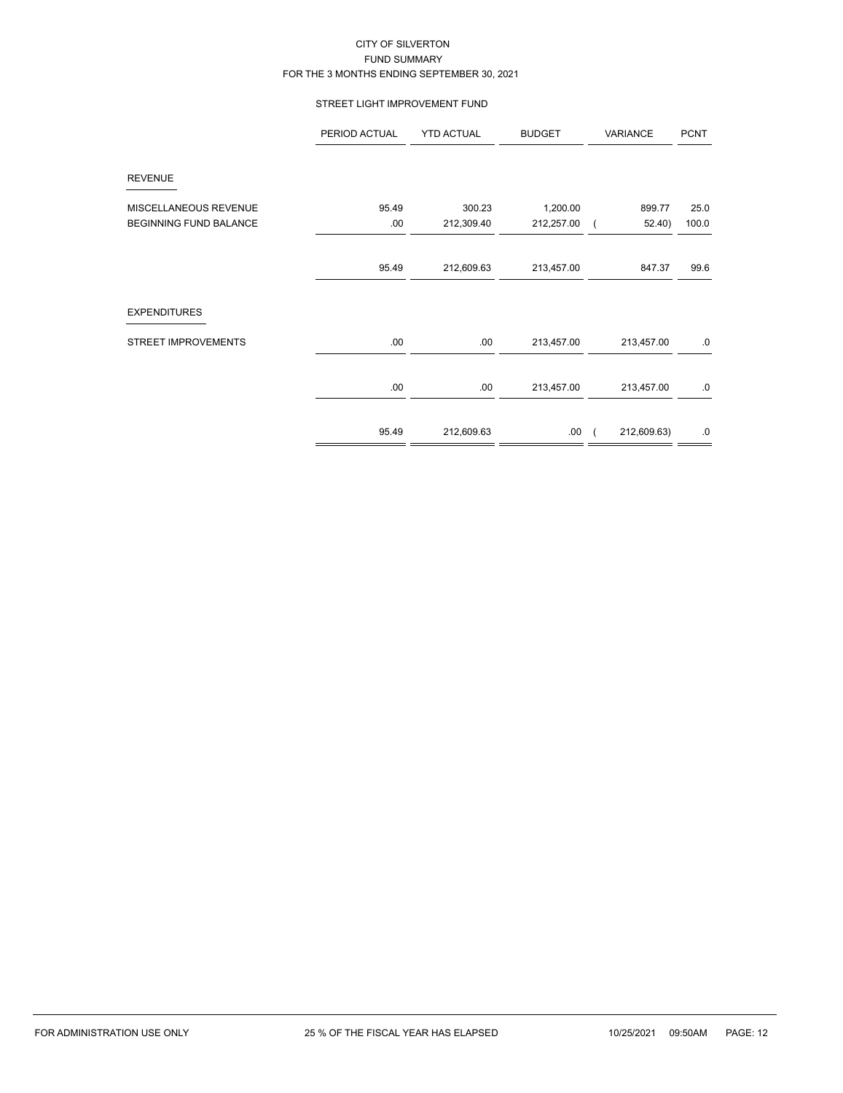## STREET LIGHT IMPROVEMENT FUND

|                               | PERIOD ACTUAL | <b>YTD ACTUAL</b> | <b>BUDGET</b> | VARIANCE                  | <b>PCNT</b> |
|-------------------------------|---------------|-------------------|---------------|---------------------------|-------------|
| <b>REVENUE</b>                |               |                   |               |                           |             |
| MISCELLANEOUS REVENUE         | 95.49         | 300.23            | 1,200.00      | 899.77                    | 25.0        |
| <b>BEGINNING FUND BALANCE</b> | .00           | 212,309.40        | 212,257.00    | 52.40)                    | 100.0       |
|                               |               |                   |               |                           |             |
|                               | 95.49         | 212,609.63        | 213,457.00    | 847.37                    | 99.6        |
|                               |               |                   |               |                           |             |
| <b>EXPENDITURES</b>           |               |                   |               |                           |             |
| <b>STREET IMPROVEMENTS</b>    | .00           | .00.              | 213,457.00    | 213,457.00                | .0          |
|                               | .00           | .00               | 213,457.00    | 213,457.00                | .0          |
|                               | 95.49         | 212,609.63        | .00           | 212,609.63)<br>$\sqrt{2}$ | .0          |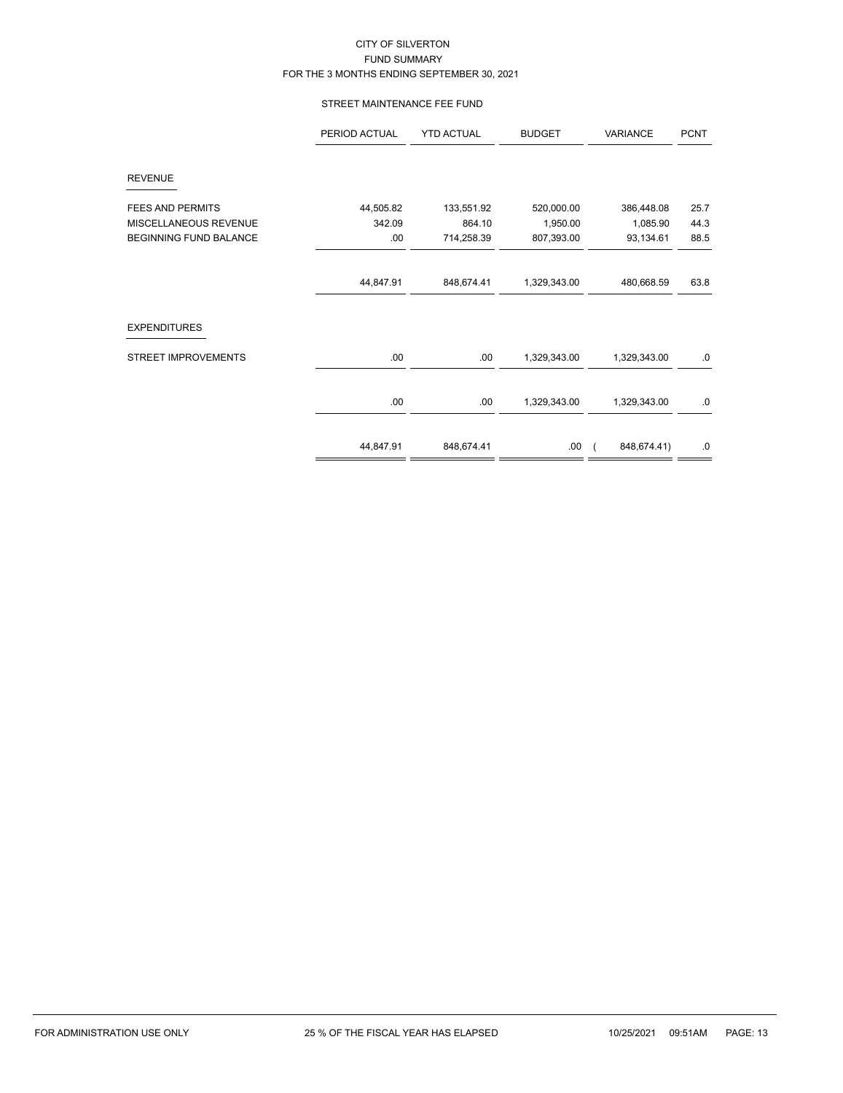### STREET MAINTENANCE FEE FUND

|                               | PERIOD ACTUAL | <b>YTD ACTUAL</b> | <b>BUDGET</b> | VARIANCE     | <b>PCNT</b> |
|-------------------------------|---------------|-------------------|---------------|--------------|-------------|
| <b>REVENUE</b>                |               |                   |               |              |             |
| <b>FEES AND PERMITS</b>       | 44,505.82     | 133,551.92        | 520,000.00    | 386,448.08   | 25.7        |
| MISCELLANEOUS REVENUE         | 342.09        | 864.10            | 1,950.00      | 1,085.90     | 44.3        |
| <b>BEGINNING FUND BALANCE</b> | .00           | 714,258.39        | 807,393.00    | 93,134.61    | 88.5        |
|                               | 44,847.91     | 848,674.41        | 1,329,343.00  | 480,668.59   | 63.8        |
| <b>EXPENDITURES</b>           |               |                   |               |              |             |
| <b>STREET IMPROVEMENTS</b>    | .00           | .00.              | 1,329,343.00  | 1,329,343.00 | 0.          |
|                               | .00           | .00               | 1,329,343.00  | 1,329,343.00 | 0.          |
|                               | 44,847.91     | 848,674.41        |               | 848,674.41)  |             |
|                               |               |                   | .00           |              | .0          |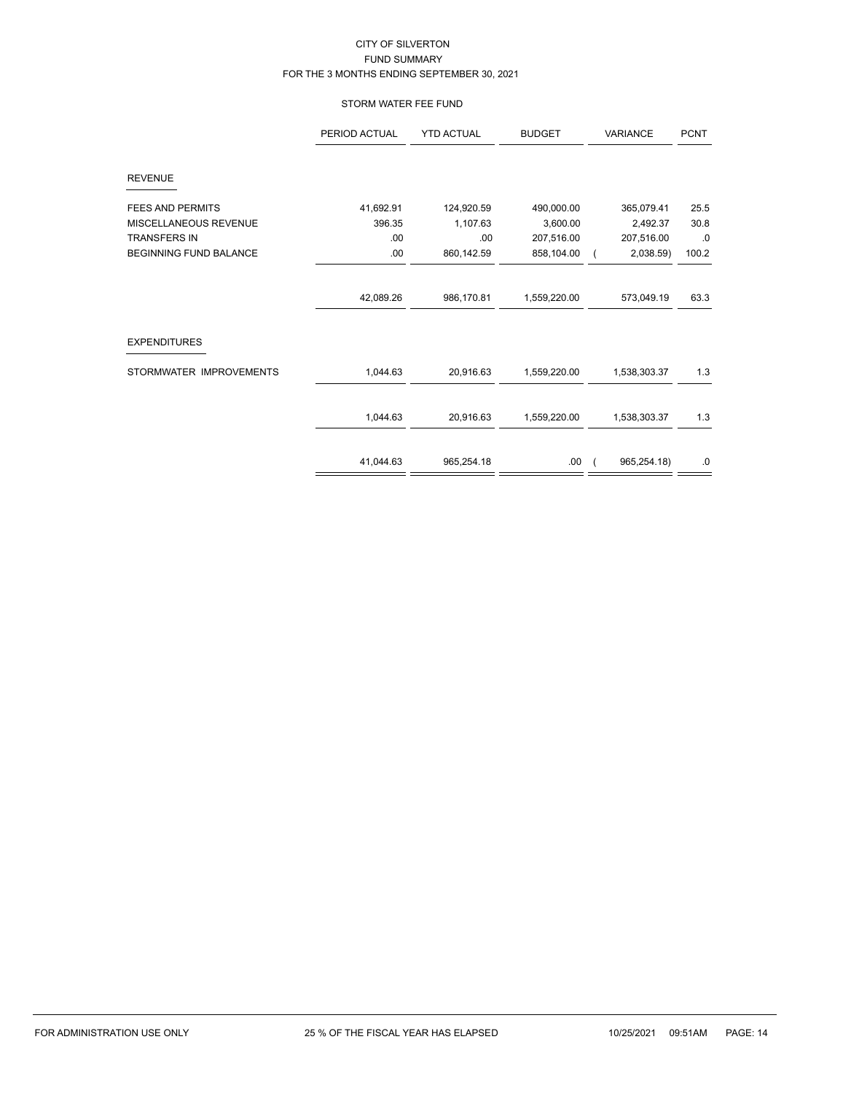# STORM WATER FEE FUND

|                               | PERIOD ACTUAL | <b>YTD ACTUAL</b> | <b>BUDGET</b> | <b>VARIANCE</b> | <b>PCNT</b> |
|-------------------------------|---------------|-------------------|---------------|-----------------|-------------|
| <b>REVENUE</b>                |               |                   |               |                 |             |
| <b>FEES AND PERMITS</b>       | 41,692.91     | 124,920.59        | 490,000.00    | 365,079.41      | 25.5        |
| MISCELLANEOUS REVENUE         | 396.35        | 1,107.63          | 3,600.00      | 2,492.37        | 30.8        |
| <b>TRANSFERS IN</b>           | .00           | .00               | 207,516.00    | 207,516.00      | .0          |
| <b>BEGINNING FUND BALANCE</b> | .00.          | 860,142.59        | 858,104.00    | 2,038.59)       | 100.2       |
|                               | 42,089.26     | 986,170.81        | 1,559,220.00  | 573,049.19      | 63.3        |
| <b>EXPENDITURES</b>           |               |                   |               |                 |             |
| STORMWATER IMPROVEMENTS       | 1,044.63      | 20,916.63         | 1,559,220.00  | 1,538,303.37    | 1.3         |
|                               | 1,044.63      | 20,916.63         | 1,559,220.00  | 1,538,303.37    | 1.3         |
|                               | 41,044.63     | 965,254.18        | .00.          | 965,254.18)     | .0          |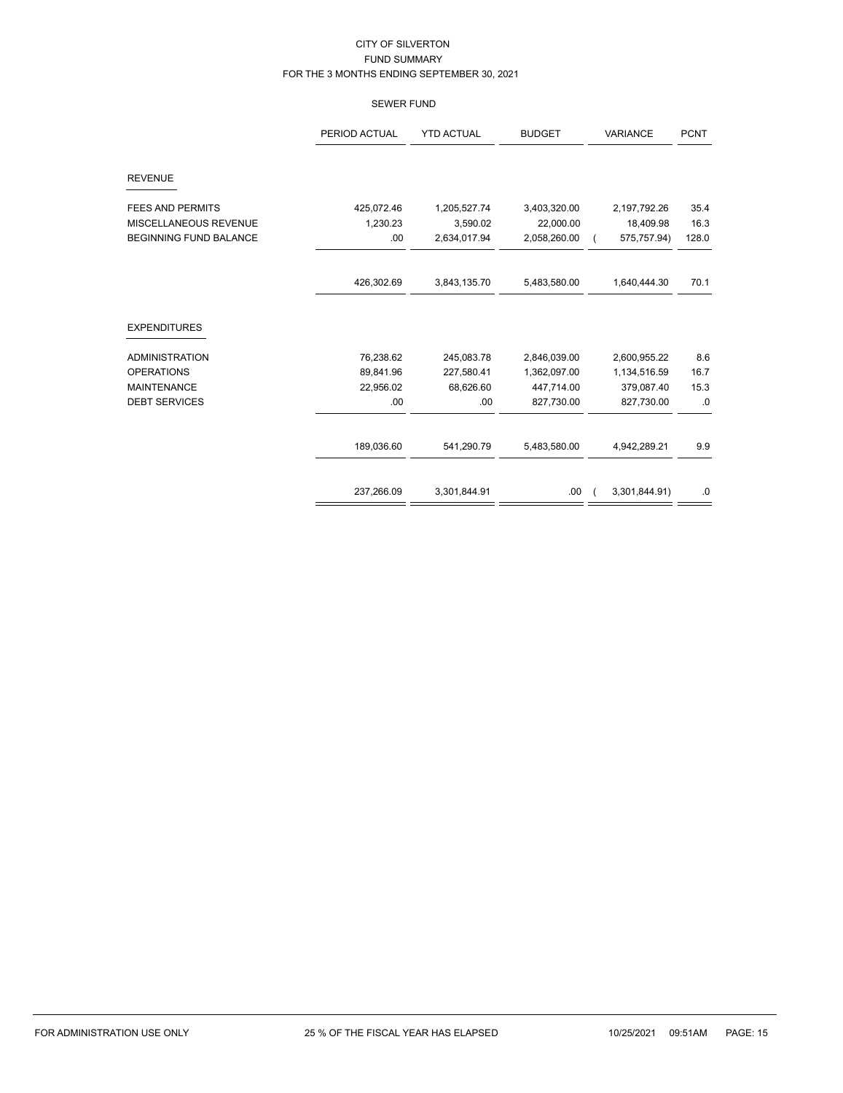# SEWER FUND

|                               | PERIOD ACTUAL | <b>YTD ACTUAL</b> | <b>BUDGET</b> | <b>VARIANCE</b> | <b>PCNT</b> |
|-------------------------------|---------------|-------------------|---------------|-----------------|-------------|
| <b>REVENUE</b>                |               |                   |               |                 |             |
| <b>FEES AND PERMITS</b>       | 425,072.46    | 1,205,527.74      | 3,403,320.00  | 2,197,792.26    | 35.4        |
| MISCELLANEOUS REVENUE         | 1,230.23      | 3,590.02          | 22,000.00     | 18,409.98       | 16.3        |
| <b>BEGINNING FUND BALANCE</b> | .00           | 2,634,017.94      | 2,058,260.00  | 575,757.94)     | 128.0       |
|                               | 426,302.69    | 3,843,135.70      | 5,483,580.00  | 1,640,444.30    | 70.1        |
| <b>EXPENDITURES</b>           |               |                   |               |                 |             |
| <b>ADMINISTRATION</b>         | 76,238.62     | 245,083.78        | 2,846,039.00  | 2,600,955.22    | 8.6         |
| <b>OPERATIONS</b>             | 89,841.96     | 227,580.41        | 1,362,097.00  | 1,134,516.59    | 16.7        |
| <b>MAINTENANCE</b>            | 22,956.02     | 68,626.60         | 447,714.00    | 379,087.40      | 15.3        |
| <b>DEBT SERVICES</b>          | .00           | .00               | 827,730.00    | 827,730.00      | .0          |
|                               | 189,036.60    | 541,290.79        | 5,483,580.00  | 4,942,289.21    | 9.9         |
|                               | 237,266.09    | 3,301,844.91      | .00.          | 3,301,844.91)   | .0          |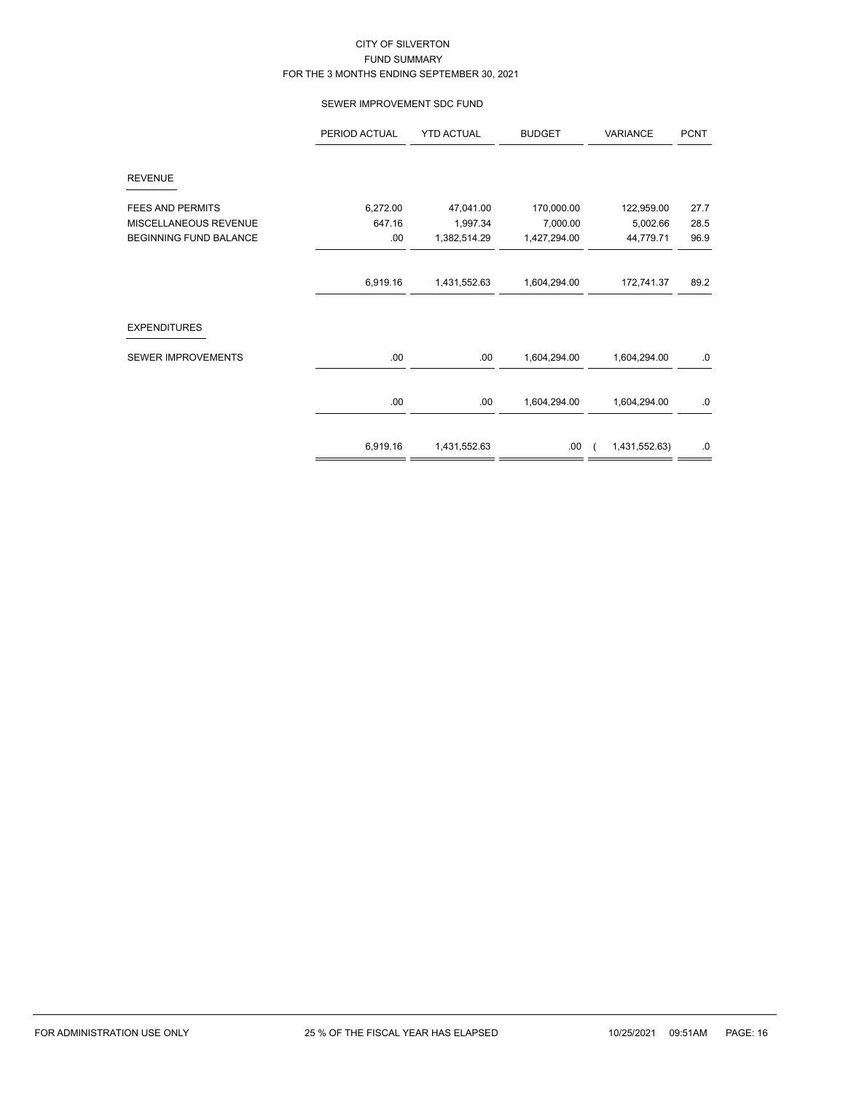### SEWER IMPROVEMENT SDC FUND

|                               | PERIOD ACTUAL | <b>YTD ACTUAL</b> | <b>BUDGET</b> | VARIANCE      | <b>PCNT</b> |
|-------------------------------|---------------|-------------------|---------------|---------------|-------------|
| <b>REVENUE</b>                |               |                   |               |               |             |
| <b>FEES AND PERMITS</b>       | 6,272.00      | 47,041.00         | 170,000.00    | 122,959.00    | 27.7        |
| MISCELLANEOUS REVENUE         | 647.16        | 1,997.34          | 7,000.00      | 5,002.66      | 28.5        |
| <b>BEGINNING FUND BALANCE</b> | .00           | 1,382,514.29      | 1,427,294.00  | 44,779.71     | 96.9        |
|                               | 6,919.16      | 1,431,552.63      | 1,604,294.00  | 172,741.37    | 89.2        |
| <b>EXPENDITURES</b>           |               |                   |               |               |             |
| <b>SEWER IMPROVEMENTS</b>     | .00.          | .00               | 1,604,294.00  | 1,604,294.00  | .0          |
|                               | .00.          | .00               | 1,604,294.00  | 1,604,294.00  | $.0\,$      |
|                               | 6,919.16      | 1,431,552.63      | .00.          | 1,431,552.63) | $.0\,$      |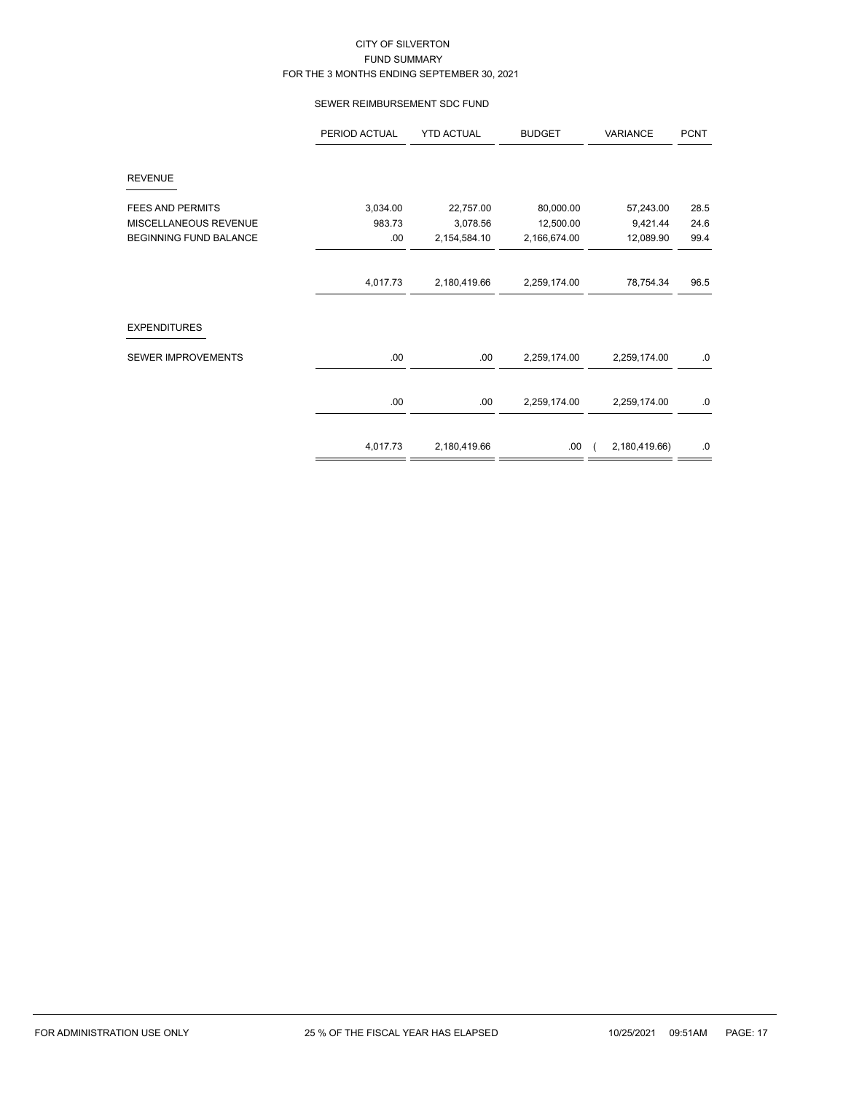### SEWER REIMBURSEMENT SDC FUND

|                               | PERIOD ACTUAL | <b>YTD ACTUAL</b> | <b>BUDGET</b> | VARIANCE      | <b>PCNT</b> |
|-------------------------------|---------------|-------------------|---------------|---------------|-------------|
| <b>REVENUE</b>                |               |                   |               |               |             |
| <b>FEES AND PERMITS</b>       | 3,034.00      | 22,757.00         | 80,000.00     | 57,243.00     | 28.5        |
| MISCELLANEOUS REVENUE         | 983.73        | 3,078.56          | 12,500.00     | 9,421.44      | 24.6        |
| <b>BEGINNING FUND BALANCE</b> | .00           | 2,154,584.10      | 2,166,674.00  | 12,089.90     | 99.4        |
|                               |               |                   |               |               |             |
|                               | 4,017.73      | 2,180,419.66      | 2,259,174.00  | 78,754.34     | 96.5        |
| <b>EXPENDITURES</b>           |               |                   |               |               |             |
| <b>SEWER IMPROVEMENTS</b>     | .00.          | .00               | 2,259,174.00  | 2,259,174.00  | .0          |
|                               | .00.          | .00               | 2,259,174.00  | 2,259,174.00  | .0          |
|                               |               |                   |               |               |             |
|                               | 4,017.73      | 2,180,419.66      | .00           | 2,180,419.66) | .0          |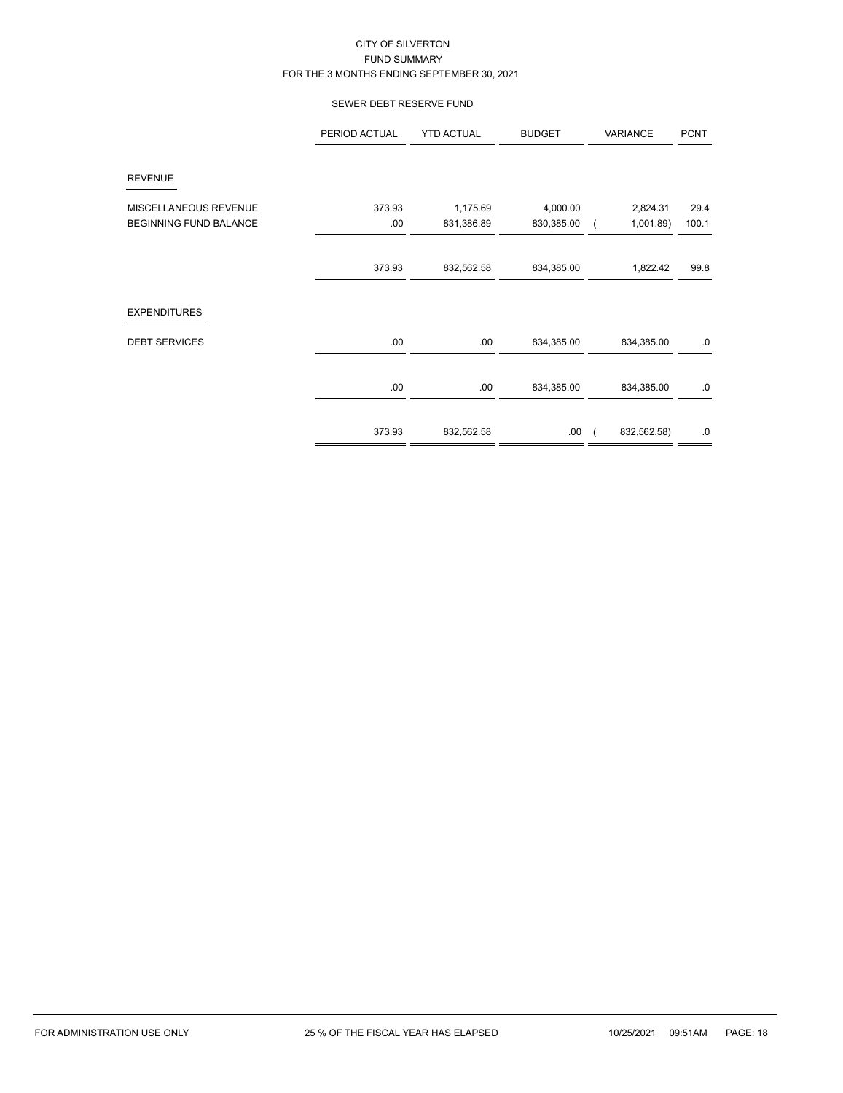# SEWER DEBT RESERVE FUND

|                                                        | PERIOD ACTUAL | <b>YTD ACTUAL</b>      | <b>BUDGET</b>          | VARIANCE              | <b>PCNT</b>   |
|--------------------------------------------------------|---------------|------------------------|------------------------|-----------------------|---------------|
| <b>REVENUE</b>                                         |               |                        |                        |                       |               |
| MISCELLANEOUS REVENUE<br><b>BEGINNING FUND BALANCE</b> | 373.93<br>.00 | 1,175.69<br>831,386.89 | 4,000.00<br>830,385.00 | 2,824.31<br>1,001.89) | 29.4<br>100.1 |
|                                                        | 373.93        | 832,562.58             | 834,385.00             | 1,822.42              | 99.8          |
| <b>EXPENDITURES</b>                                    |               |                        |                        |                       |               |
| <b>DEBT SERVICES</b>                                   | .00           | .00                    | 834,385.00             | 834,385.00            | .0            |
|                                                        | .00           | .00                    | 834,385.00             | 834,385.00            | .0            |
|                                                        | 373.93        | 832,562.58             | .00                    | 832,562.58)           | .0            |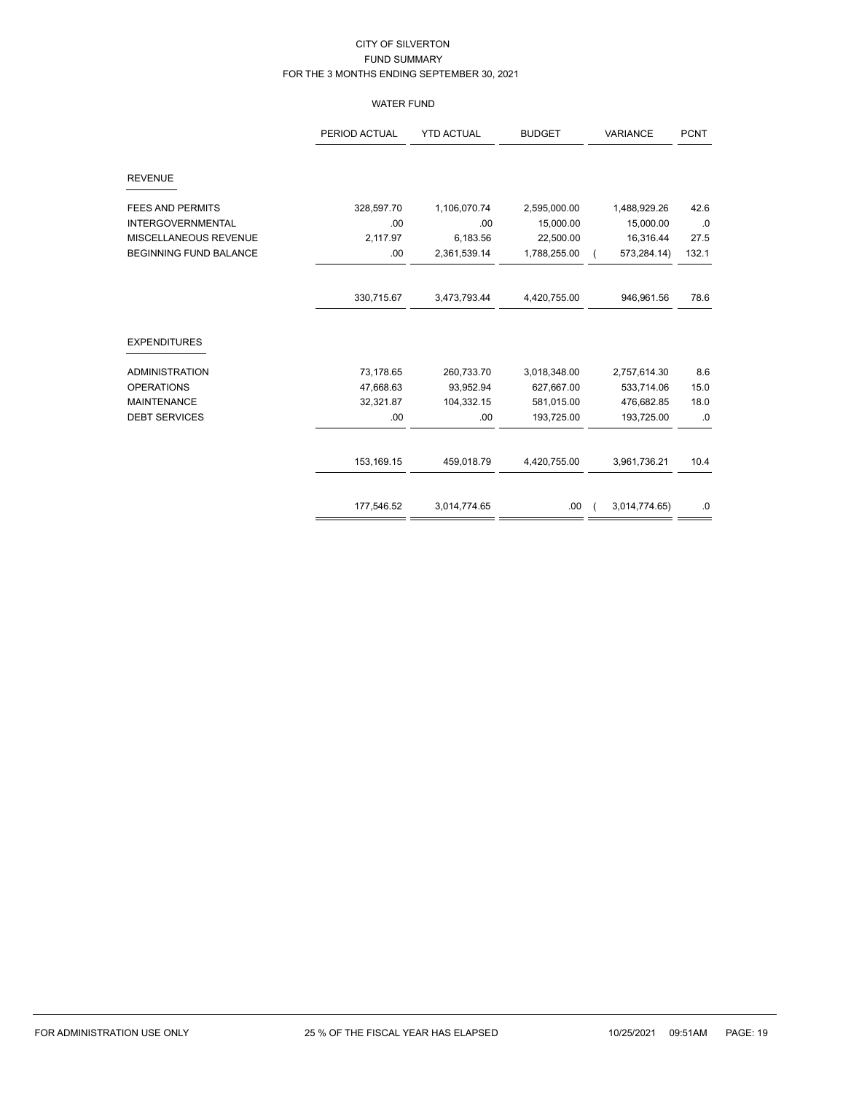# WATER FUND

|                               | PERIOD ACTUAL | <b>YTD ACTUAL</b> | <b>BUDGET</b> | <b>VARIANCE</b> | <b>PCNT</b> |
|-------------------------------|---------------|-------------------|---------------|-----------------|-------------|
| <b>REVENUE</b>                |               |                   |               |                 |             |
| <b>FEES AND PERMITS</b>       | 328,597.70    | 1,106,070.74      | 2,595,000.00  | 1,488,929.26    | 42.6        |
| <b>INTERGOVERNMENTAL</b>      | .00           | .00               | 15,000.00     | 15,000.00       | .0          |
| MISCELLANEOUS REVENUE         | 2,117.97      | 6,183.56          | 22,500.00     | 16,316.44       | 27.5        |
| <b>BEGINNING FUND BALANCE</b> | .00           | 2,361,539.14      | 1,788,255.00  | 573,284.14)     | 132.1       |
|                               | 330,715.67    | 3,473,793.44      | 4,420,755.00  | 946,961.56      | 78.6        |
| <b>EXPENDITURES</b>           |               |                   |               |                 |             |
| <b>ADMINISTRATION</b>         | 73,178.65     | 260,733.70        | 3,018,348.00  | 2,757,614.30    | 8.6         |
| <b>OPERATIONS</b>             | 47,668.63     | 93,952.94         | 627,667.00    | 533,714.06      | 15.0        |
| <b>MAINTENANCE</b>            | 32,321.87     | 104,332.15        | 581,015.00    | 476,682.85      | 18.0        |
| <b>DEBT SERVICES</b>          | .00           | .00               | 193,725.00    | 193,725.00      | .0          |
|                               | 153,169.15    | 459,018.79        | 4,420,755.00  | 3,961,736.21    | 10.4        |
|                               | 177,546.52    | 3,014,774.65      | .00           | 3,014,774.65)   | .0          |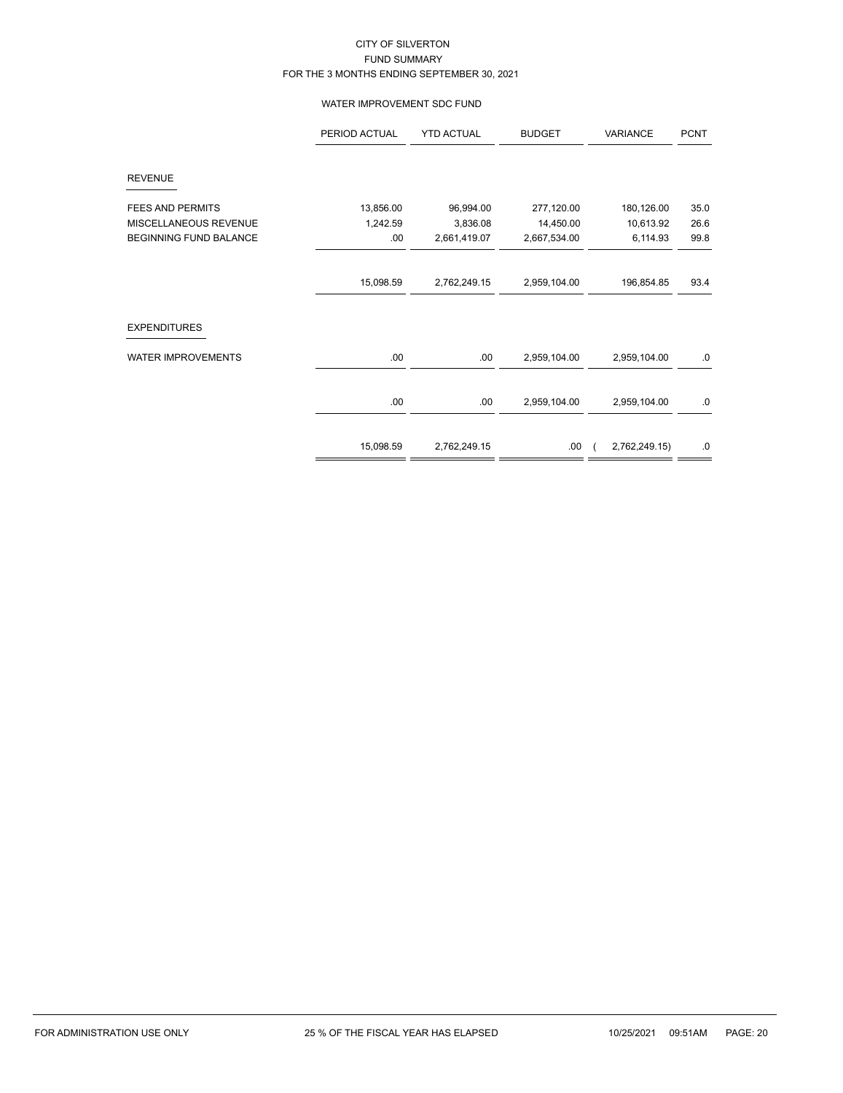## WATER IMPROVEMENT SDC FUND

|                           | PERIOD ACTUAL | <b>YTD ACTUAL</b> | <b>BUDGET</b> | VARIANCE      | <b>PCNT</b> |
|---------------------------|---------------|-------------------|---------------|---------------|-------------|
| <b>REVENUE</b>            |               |                   |               |               |             |
| <b>FEES AND PERMITS</b>   | 13,856.00     | 96,994.00         | 277,120.00    | 180,126.00    | 35.0        |
| MISCELLANEOUS REVENUE     | 1,242.59      | 3,836.08          | 14,450.00     | 10,613.92     | 26.6        |
| BEGINNING FUND BALANCE    | .00           | 2,661,419.07      | 2,667,534.00  | 6,114.93      | 99.8        |
|                           | 15,098.59     | 2,762,249.15      | 2,959,104.00  | 196,854.85    | 93.4        |
| <b>EXPENDITURES</b>       |               |                   |               |               |             |
| <b>WATER IMPROVEMENTS</b> | .00.          | .00               | 2,959,104.00  | 2,959,104.00  | .0          |
|                           | .00.          | .00               | 2,959,104.00  | 2,959,104.00  | $.0\,$      |
|                           | 15,098.59     | 2,762,249.15      | .00           | 2,762,249.15) | .0          |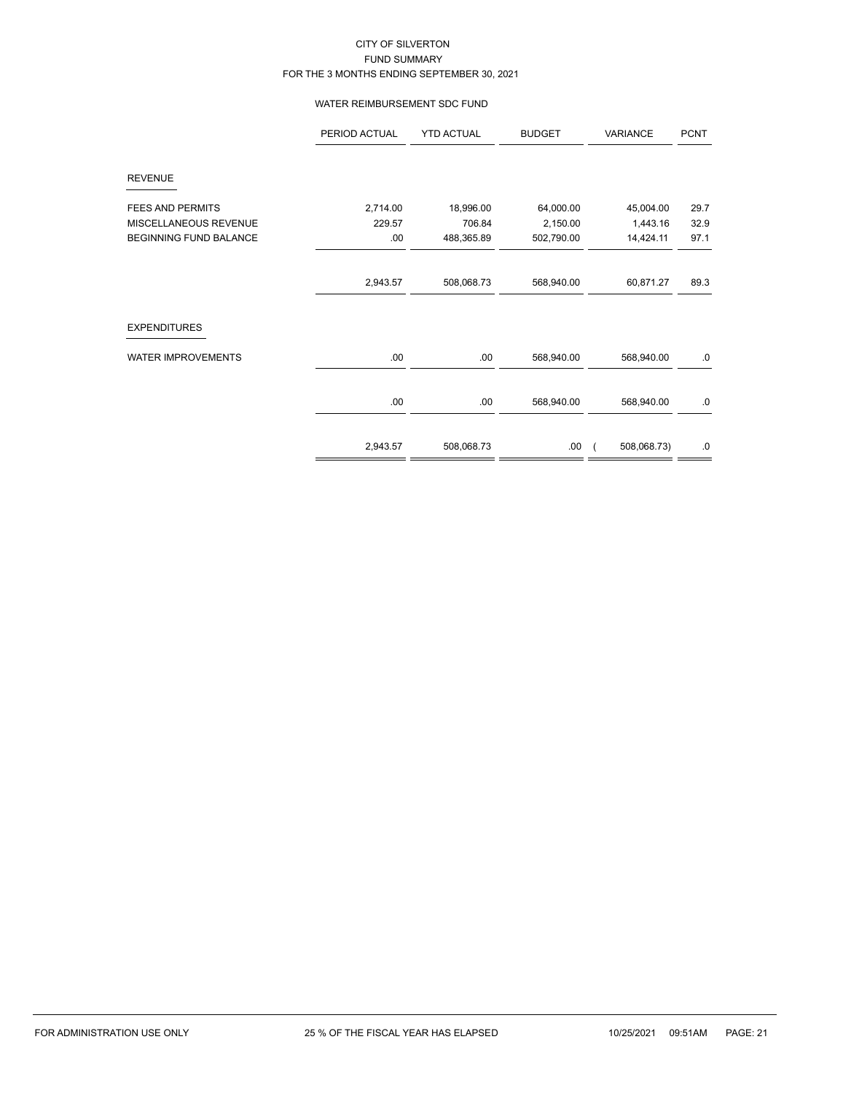### WATER REIMBURSEMENT SDC FUND

|                               | PERIOD ACTUAL | <b>YTD ACTUAL</b> | <b>BUDGET</b> | VARIANCE    | <b>PCNT</b> |
|-------------------------------|---------------|-------------------|---------------|-------------|-------------|
| <b>REVENUE</b>                |               |                   |               |             |             |
| <b>FEES AND PERMITS</b>       | 2,714.00      | 18,996.00         | 64,000.00     | 45,004.00   | 29.7        |
| MISCELLANEOUS REVENUE         | 229.57        | 706.84            | 2,150.00      | 1,443.16    | 32.9        |
| <b>BEGINNING FUND BALANCE</b> | .00           | 488,365.89        | 502,790.00    | 14,424.11   | 97.1        |
|                               | 2,943.57      | 508,068.73        | 568,940.00    | 60,871.27   | 89.3        |
| <b>EXPENDITURES</b>           |               |                   |               |             |             |
| <b>WATER IMPROVEMENTS</b>     | .00.          | .00               | 568,940.00    | 568,940.00  | $.0\,$      |
|                               | .00.          | .00               | 568,940.00    | 568,940.00  | .0          |
|                               | 2,943.57      | 508,068.73        | .00.          | 508,068.73) | .0          |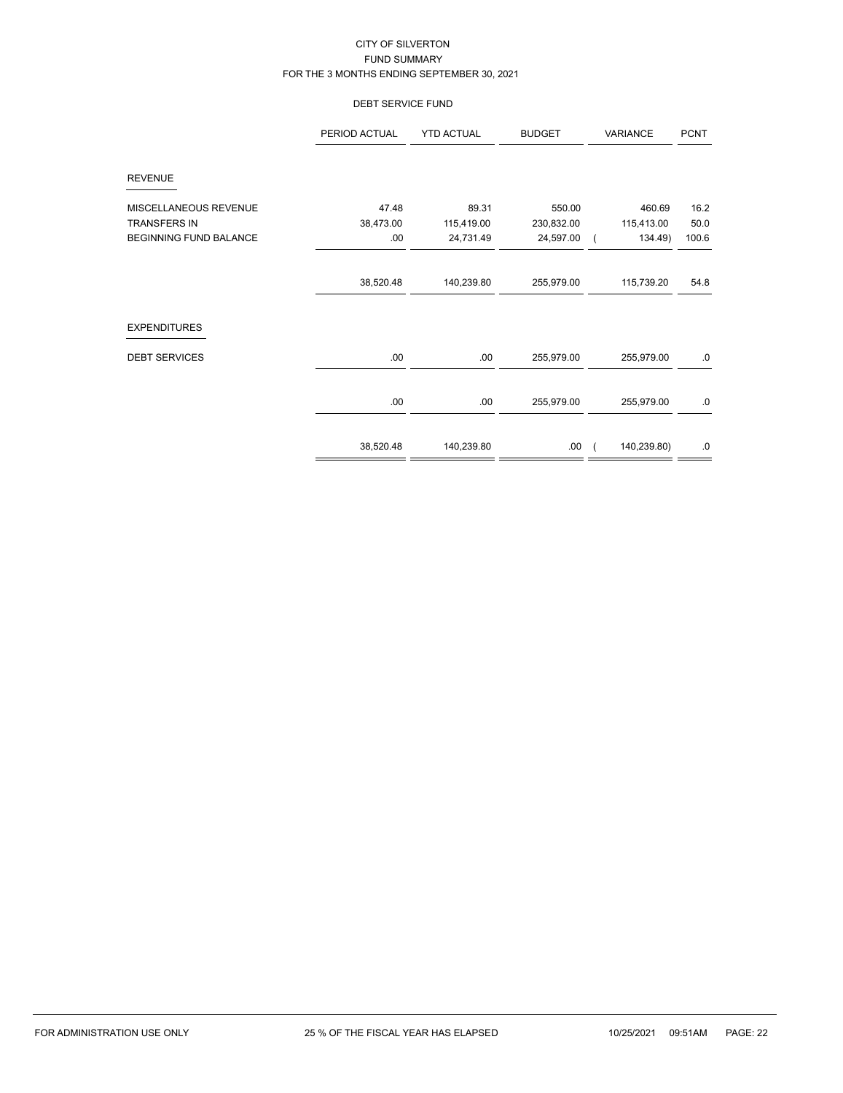## DEBT SERVICE FUND

|                               | PERIOD ACTUAL | <b>YTD ACTUAL</b> | <b>BUDGET</b> | VARIANCE                  | <b>PCNT</b> |
|-------------------------------|---------------|-------------------|---------------|---------------------------|-------------|
| <b>REVENUE</b>                |               |                   |               |                           |             |
| MISCELLANEOUS REVENUE         | 47.48         | 89.31             | 550.00        | 460.69                    | 16.2        |
| <b>TRANSFERS IN</b>           | 38,473.00     | 115,419.00        | 230,832.00    | 115,413.00                | 50.0        |
| <b>BEGINNING FUND BALANCE</b> | .00.          | 24,731.49         | 24,597.00     | 134.49)<br>$\overline{ }$ | 100.6       |
|                               |               |                   |               |                           |             |
|                               | 38,520.48     | 140,239.80        | 255,979.00    | 115,739.20                | 54.8        |
| <b>EXPENDITURES</b>           |               |                   |               |                           |             |
| <b>DEBT SERVICES</b>          | .00.          | .00.              | 255,979.00    | 255,979.00                | .0          |
|                               | .00.          | .00.              | 255,979.00    | 255,979.00                | $.0\,$      |
|                               | 38,520.48     | 140,239.80        | .00.          | 140,239.80)               | 0.          |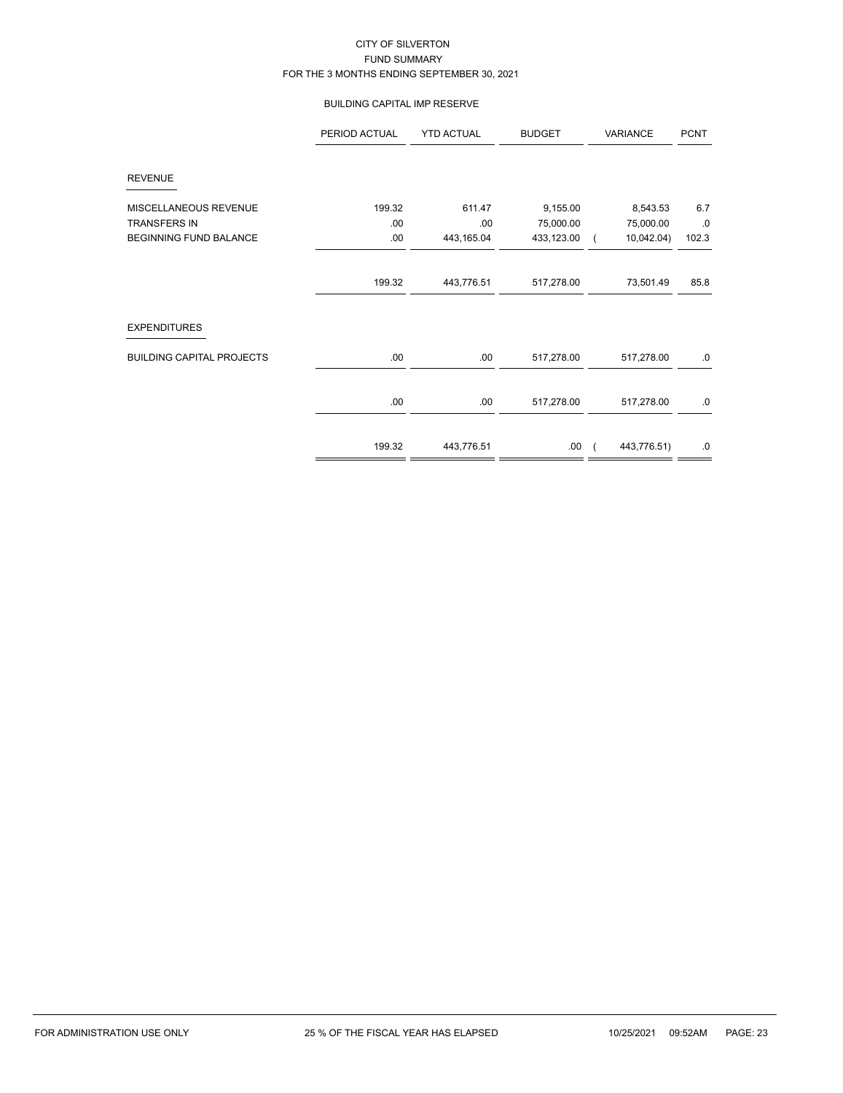### BUILDING CAPITAL IMP RESERVE

|        | <b>YTD ACTUAL</b> | <b>BUDGET</b> | VARIANCE    | <b>PCNT</b> |
|--------|-------------------|---------------|-------------|-------------|
|        |                   |               |             |             |
| 199.32 | 611.47            | 9,155.00      | 8,543.53    | 6.7         |
| .00    | .00               | 75,000.00     | 75,000.00   | .0          |
| .00    | 443,165.04        | 433,123.00    | 10,042.04)  | 102.3       |
|        |                   |               |             |             |
| 199.32 | 443,776.51        | 517,278.00    | 73,501.49   | 85.8        |
|        |                   |               |             |             |
| .00    | .00.              | 517,278.00    | 517,278.00  | .0          |
| .00    | .00.              | 517,278.00    | 517,278.00  | .0          |
| 199.32 | 443,776.51        | .00           | 443,776.51) | .0          |
|        |                   |               |             |             |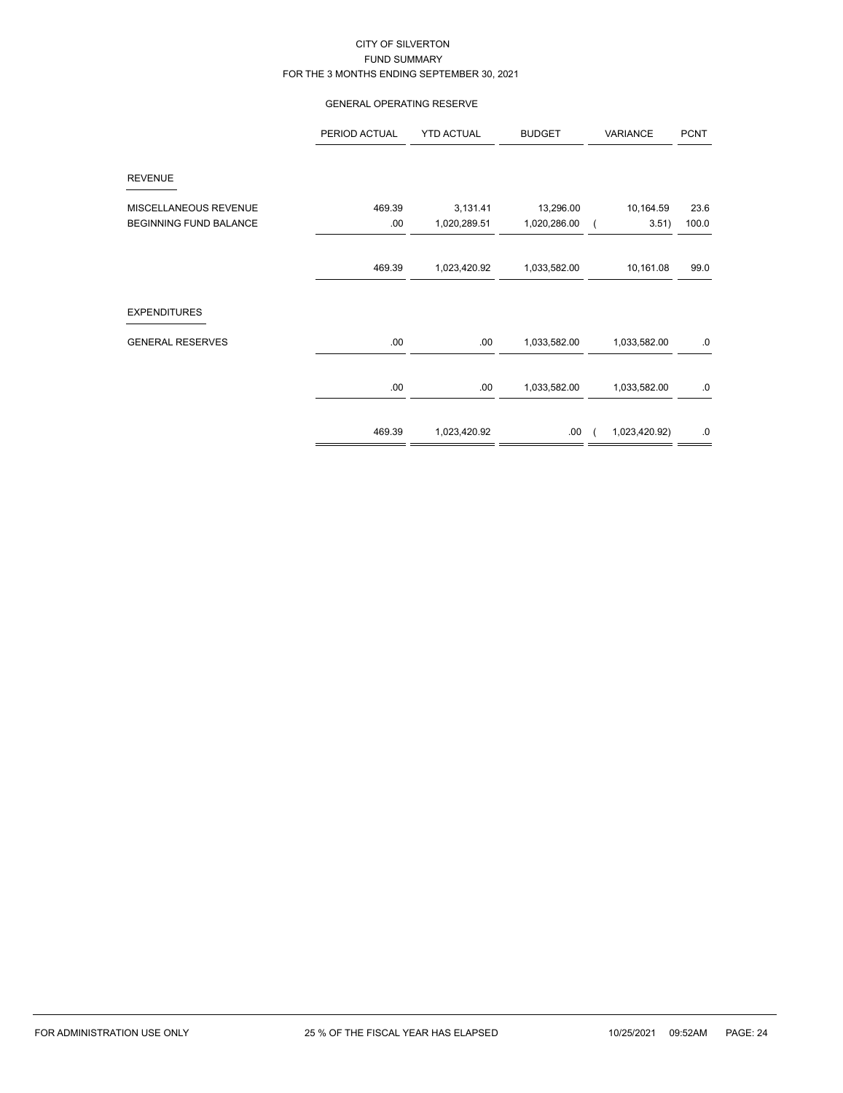## GENERAL OPERATING RESERVE

|                               | PERIOD ACTUAL | <b>YTD ACTUAL</b> | <b>BUDGET</b> | VARIANCE      | <b>PCNT</b> |
|-------------------------------|---------------|-------------------|---------------|---------------|-------------|
| <b>REVENUE</b>                |               |                   |               |               |             |
| MISCELLANEOUS REVENUE         | 469.39        | 3,131.41          | 13,296.00     | 10,164.59     | 23.6        |
| <b>BEGINNING FUND BALANCE</b> | .00           | 1,020,289.51      | 1,020,286.00  | 3.51)         | 100.0       |
|                               | 469.39        | 1,023,420.92      | 1,033,582.00  | 10,161.08     | 99.0        |
| <b>EXPENDITURES</b>           |               |                   |               |               |             |
| <b>GENERAL RESERVES</b>       | .00.          | .00               | 1,033,582.00  | 1,033,582.00  | .0          |
|                               | .00.          | .00               | 1,033,582.00  | 1,033,582.00  | .0          |
|                               | 469.39        | 1,023,420.92      | .00           | 1,023,420.92) | .0          |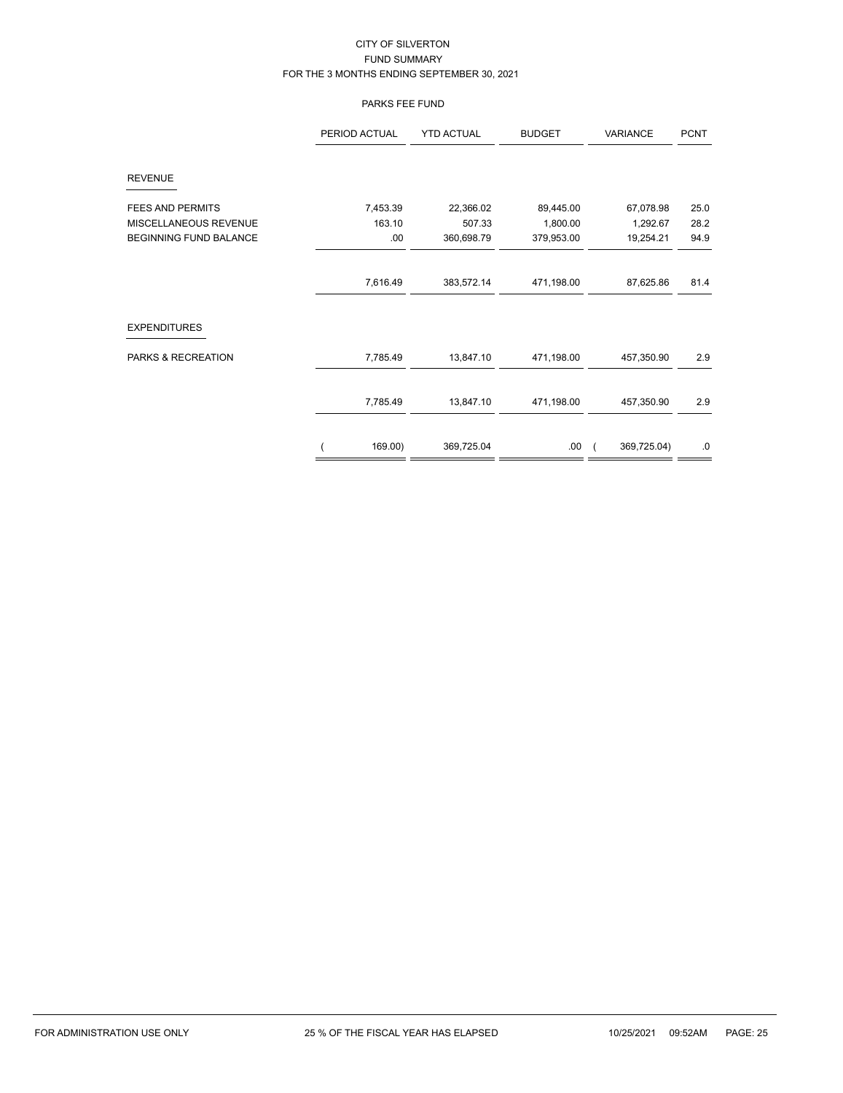## PARKS FEE FUND

|                               | PERIOD ACTUAL | <b>YTD ACTUAL</b> | <b>BUDGET</b> | VARIANCE    | <b>PCNT</b> |
|-------------------------------|---------------|-------------------|---------------|-------------|-------------|
| <b>REVENUE</b>                |               |                   |               |             |             |
| <b>FEES AND PERMITS</b>       | 7,453.39      | 22,366.02         | 89,445.00     | 67,078.98   | 25.0        |
| MISCELLANEOUS REVENUE         | 163.10        | 507.33            | 1,800.00      | 1,292.67    | 28.2        |
| <b>BEGINNING FUND BALANCE</b> | .00           | 360,698.79        | 379,953.00    | 19,254.21   | 94.9        |
|                               |               |                   |               |             |             |
|                               | 7,616.49      | 383,572.14        | 471,198.00    | 87,625.86   | 81.4        |
| <b>EXPENDITURES</b>           |               |                   |               |             |             |
| PARKS & RECREATION            | 7,785.49      | 13,847.10         | 471,198.00    | 457,350.90  | 2.9         |
|                               | 7,785.49      | 13,847.10         | 471,198.00    | 457,350.90  | 2.9         |
|                               |               |                   |               |             |             |
|                               | 169.00)       | 369,725.04        | .00.          | 369,725.04) | .0          |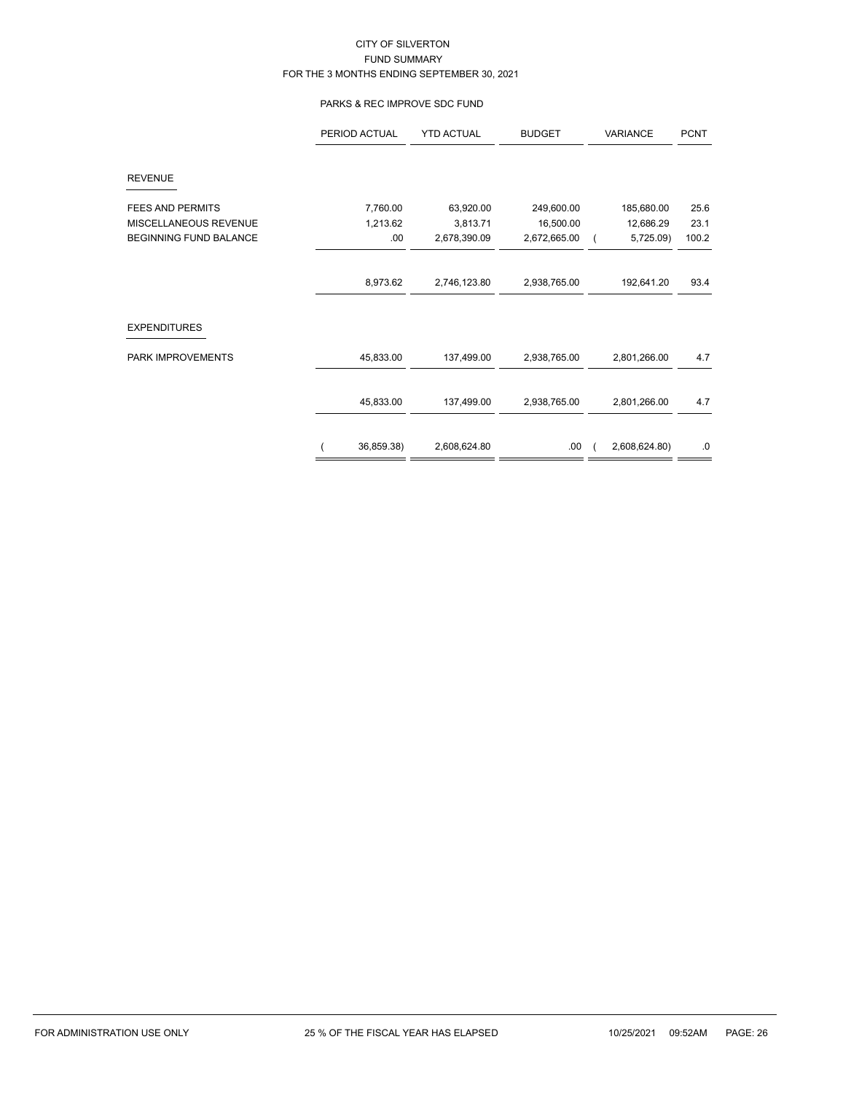### PARKS & REC IMPROVE SDC FUND

|                               | PERIOD ACTUAL |            | <b>YTD ACTUAL</b> | <b>BUDGET</b> | VARIANCE      | <b>PCNT</b> |
|-------------------------------|---------------|------------|-------------------|---------------|---------------|-------------|
| <b>REVENUE</b>                |               |            |                   |               |               |             |
| <b>FEES AND PERMITS</b>       |               | 7,760.00   | 63,920.00         | 249,600.00    | 185,680.00    | 25.6        |
| MISCELLANEOUS REVENUE         |               | 1,213.62   | 3,813.71          | 16,500.00     | 12,686.29     | 23.1        |
| <b>BEGINNING FUND BALANCE</b> |               | .00        | 2,678,390.09      | 2,672,665.00  | 5,725.09)     | 100.2       |
|                               |               |            |                   |               |               |             |
|                               |               | 8,973.62   | 2,746,123.80      | 2,938,765.00  | 192,641.20    | 93.4        |
| <b>EXPENDITURES</b>           |               |            |                   |               |               |             |
| PARK IMPROVEMENTS             |               | 45,833.00  | 137,499.00        | 2,938,765.00  | 2,801,266.00  | 4.7         |
|                               |               | 45,833.00  | 137,499.00        | 2,938,765.00  | 2,801,266.00  | 4.7         |
|                               |               | 36,859.38) | 2,608,624.80      | .00.          | 2,608,624.80) | $.0\,$      |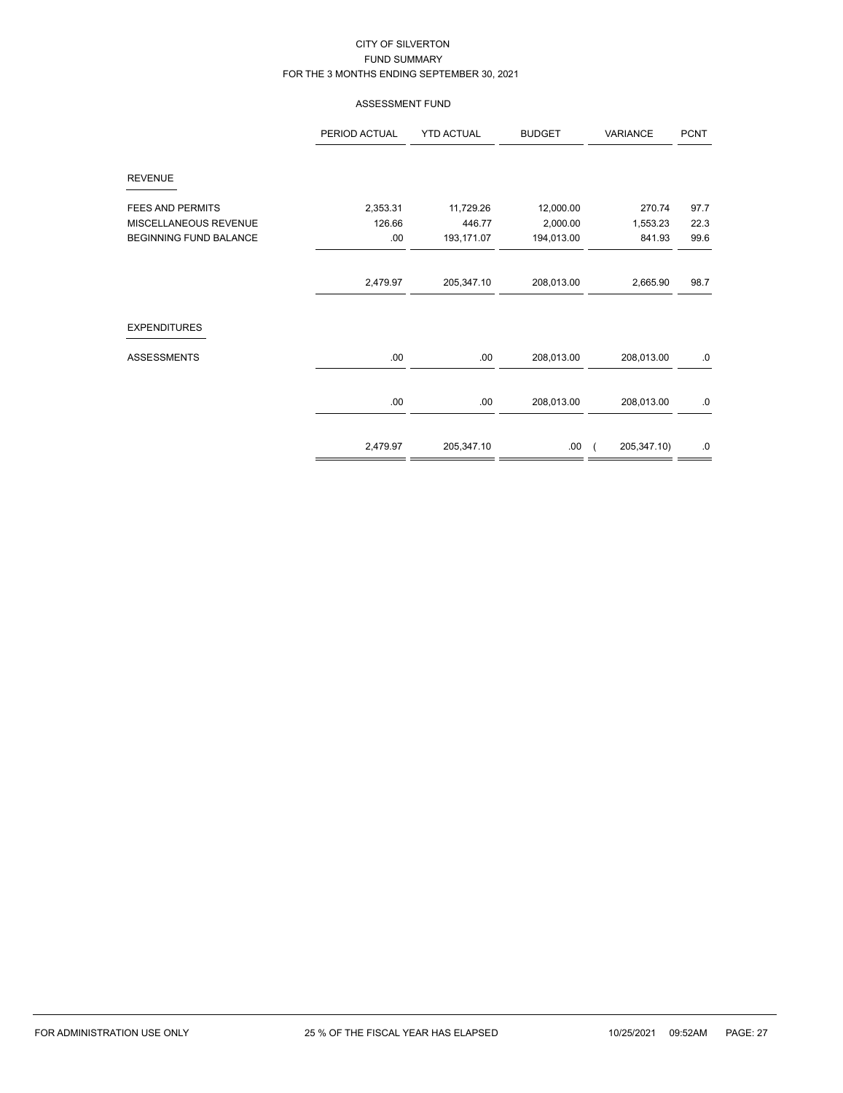## ASSESSMENT FUND

|                               | PERIOD ACTUAL | <b>YTD ACTUAL</b> | <b>BUDGET</b> | VARIANCE    | <b>PCNT</b> |
|-------------------------------|---------------|-------------------|---------------|-------------|-------------|
| <b>REVENUE</b>                |               |                   |               |             |             |
| FEES AND PERMITS              | 2,353.31      | 11,729.26         | 12,000.00     | 270.74      | 97.7        |
| MISCELLANEOUS REVENUE         | 126.66        | 446.77            | 2,000.00      | 1,553.23    | 22.3        |
| <b>BEGINNING FUND BALANCE</b> | .00           | 193, 171.07       | 194,013.00    | 841.93      | 99.6        |
|                               |               |                   |               |             |             |
|                               | 2,479.97      | 205,347.10        | 208,013.00    | 2,665.90    | 98.7        |
|                               |               |                   |               |             |             |
| <b>EXPENDITURES</b>           |               |                   |               |             |             |
| <b>ASSESSMENTS</b>            | .00           | .00.              | 208,013.00    | 208,013.00  | .0          |
|                               |               |                   |               |             |             |
|                               | .00           | .00               | 208,013.00    | 208,013.00  | 0.          |
|                               |               |                   |               |             |             |
|                               | 2,479.97      | 205,347.10        | .00.          | 205,347.10) | .0          |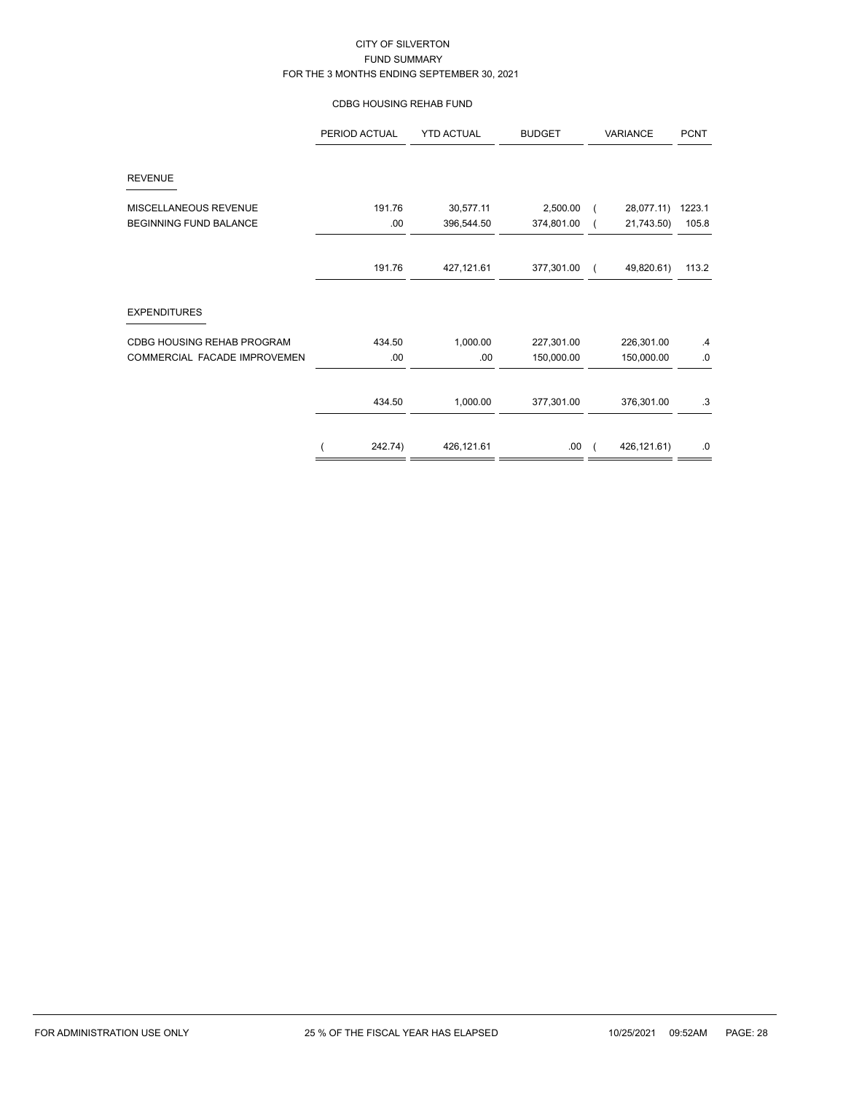### CDBG HOUSING REHAB FUND

|                                                        | PERIOD ACTUAL | <b>YTD ACTUAL</b> | <b>BUDGET</b> | VARIANCE                 | <b>PCNT</b> |
|--------------------------------------------------------|---------------|-------------------|---------------|--------------------------|-------------|
| <b>REVENUE</b>                                         |               |                   |               |                          |             |
| MISCELLANEOUS REVENUE<br><b>BEGINNING FUND BALANCE</b> | 191.76<br>.00 | 30,577.11         | 2,500.00      | 28,077.11)               | 1223.1      |
|                                                        |               | 396,544.50        | 374,801.00    | 21,743.50)               | 105.8       |
|                                                        | 191.76        | 427, 121.61       | 377,301.00    | 49,820.61)<br>$\sqrt{2}$ | 113.2       |
| <b>EXPENDITURES</b>                                    |               |                   |               |                          |             |
| CDBG HOUSING REHAB PROGRAM                             | 434.50        | 1,000.00          | 227,301.00    | 226,301.00               | $\cdot$     |
| COMMERCIAL FACADE IMPROVEMEN                           | .00           | .00               | 150,000.00    | 150,000.00               | $.0\,$      |
|                                                        | 434.50        | 1,000.00          | 377,301.00    | 376,301.00               | .3          |
|                                                        | 242.74)       | 426,121.61        | .00.          | 426, 121.61)             | $.0\,$      |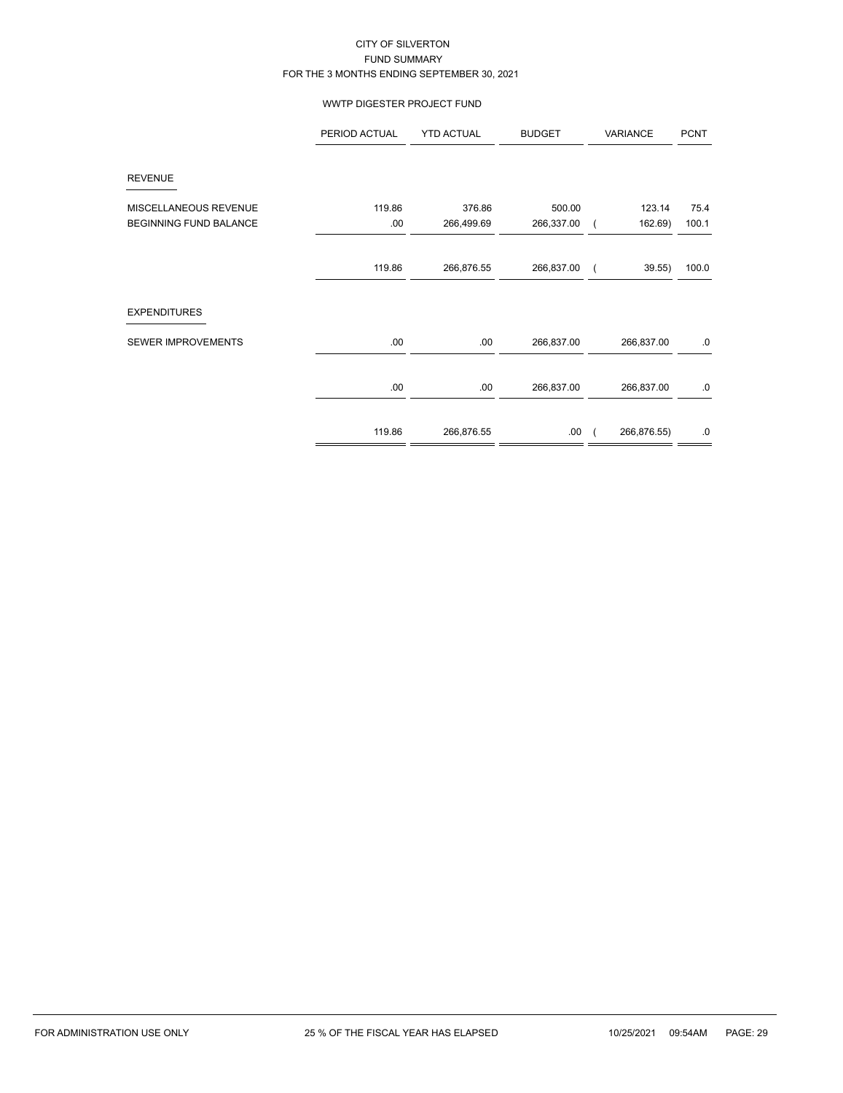## WWTP DIGESTER PROJECT FUND

|                                                        | PERIOD ACTUAL | <b>YTD ACTUAL</b>    | <b>BUDGET</b>        | VARIANCE          | <b>PCNT</b>   |
|--------------------------------------------------------|---------------|----------------------|----------------------|-------------------|---------------|
| <b>REVENUE</b>                                         |               |                      |                      |                   |               |
| MISCELLANEOUS REVENUE<br><b>BEGINNING FUND BALANCE</b> | 119.86<br>.00 | 376.86<br>266,499.69 | 500.00<br>266,337.00 | 123.14<br>162.69) | 75.4<br>100.1 |
|                                                        | 119.86        | 266,876.55           | 266,837.00           | 39.55)            | 100.0         |
| <b>EXPENDITURES</b>                                    |               |                      |                      |                   |               |
| SEWER IMPROVEMENTS                                     | .00           | .00                  | 266,837.00           | 266,837.00        | .0            |
|                                                        | .00           | .00.                 | 266,837.00           | 266,837.00        | .0            |
|                                                        | 119.86        | 266,876.55           | .00.                 | 266,876.55)       | .0            |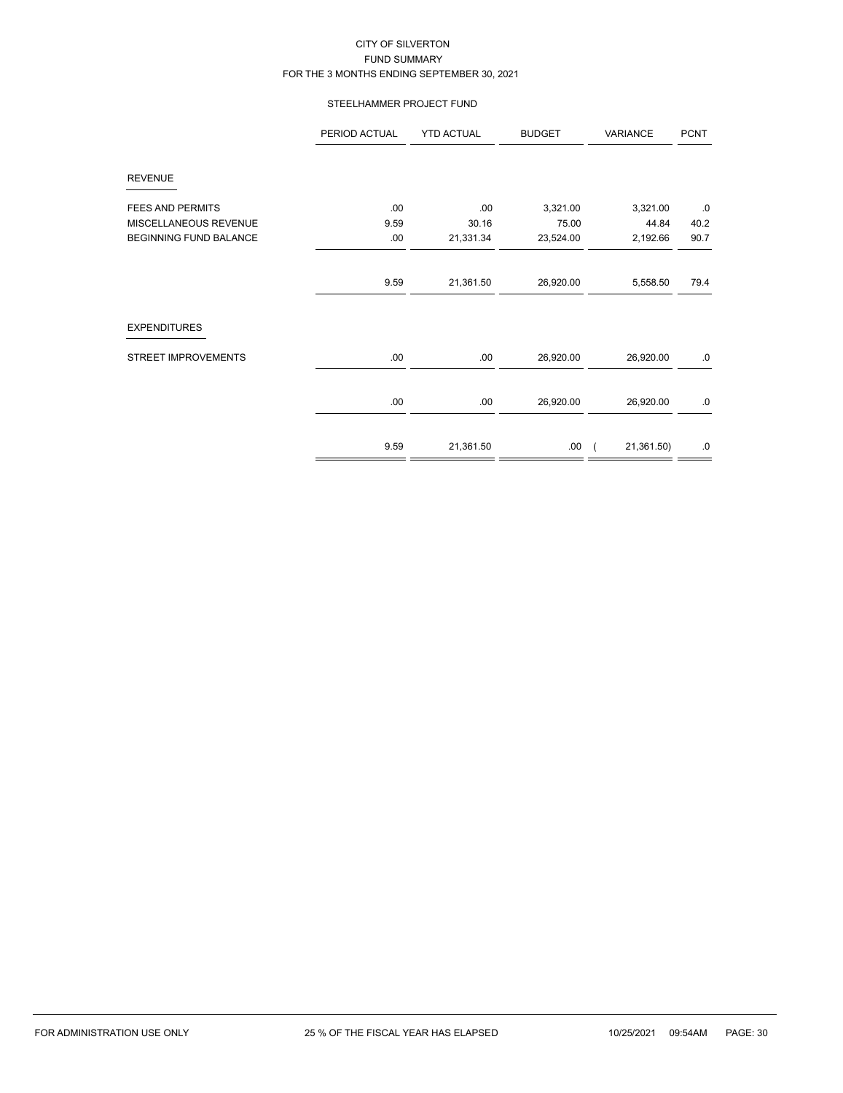# STEELHAMMER PROJECT FUND

|                               | PERIOD ACTUAL | <b>YTD ACTUAL</b> | <b>BUDGET</b> | VARIANCE   | <b>PCNT</b> |
|-------------------------------|---------------|-------------------|---------------|------------|-------------|
| <b>REVENUE</b>                |               |                   |               |            |             |
| <b>FEES AND PERMITS</b>       | .00           | .00.              | 3,321.00      | 3,321.00   | $.0\,$      |
| MISCELLANEOUS REVENUE         | 9.59          | 30.16             | 75.00         | 44.84      | 40.2        |
| <b>BEGINNING FUND BALANCE</b> | .00           | 21,331.34         | 23,524.00     | 2,192.66   | 90.7        |
|                               | 9.59          | 21,361.50         | 26,920.00     | 5,558.50   | 79.4        |
| <b>EXPENDITURES</b>           |               |                   |               |            |             |
| <b>STREET IMPROVEMENTS</b>    | .00           | .00               | 26,920.00     | 26,920.00  | 0.          |
|                               | .00           | .00               | 26,920.00     | 26,920.00  | 0.          |
|                               | 9.59          | 21,361.50         | .00.          | 21,361.50) | .0          |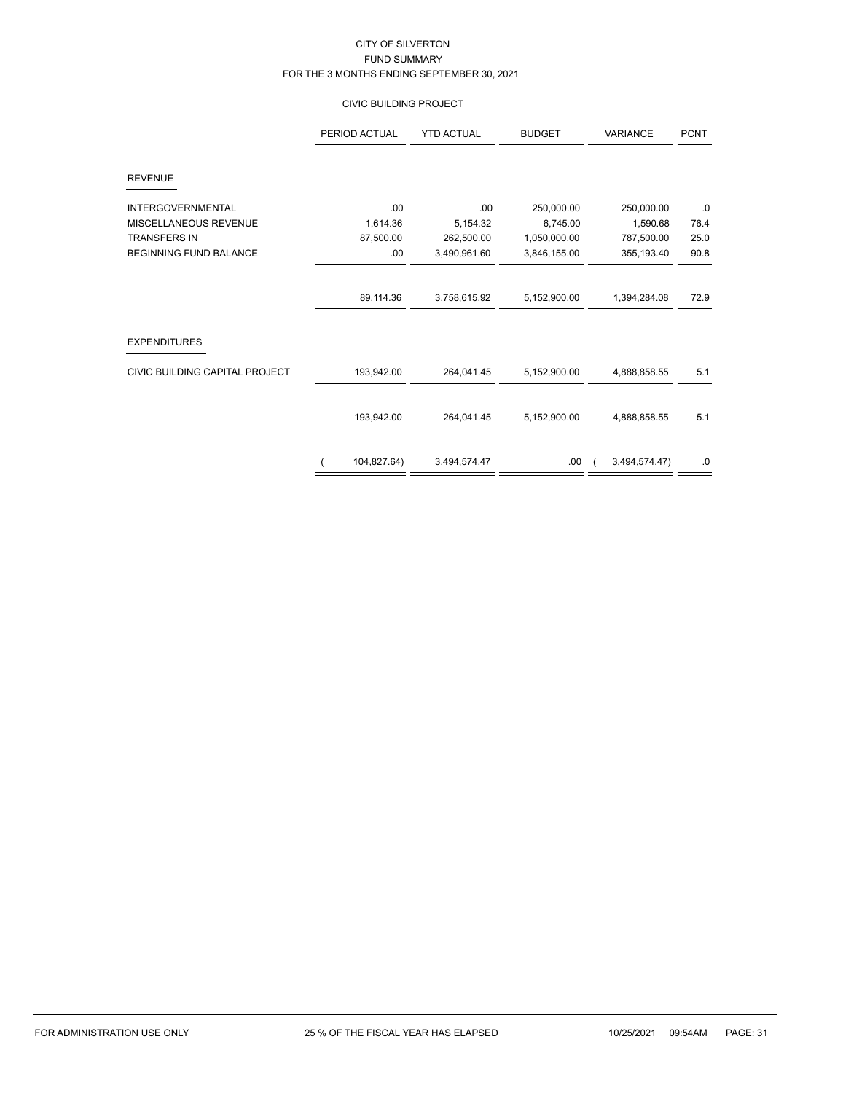# CIVIC BUILDING PROJECT

|                                | PERIOD ACTUAL | <b>YTD ACTUAL</b> | <b>BUDGET</b> | <b>VARIANCE</b> | <b>PCNT</b> |
|--------------------------------|---------------|-------------------|---------------|-----------------|-------------|
| <b>REVENUE</b>                 |               |                   |               |                 |             |
| <b>INTERGOVERNMENTAL</b>       | .00           | .00               | 250,000.00    | 250,000.00      | .0          |
| MISCELLANEOUS REVENUE          | 1,614.36      | 5,154.32          | 6,745.00      | 1,590.68        | 76.4        |
| <b>TRANSFERS IN</b>            | 87,500.00     | 262,500.00        | 1,050,000.00  | 787,500.00      | 25.0        |
| <b>BEGINNING FUND BALANCE</b>  | .00           | 3,490,961.60      | 3,846,155.00  | 355,193.40      | 90.8        |
|                                | 89,114.36     | 3,758,615.92      | 5,152,900.00  | 1,394,284.08    | 72.9        |
| <b>EXPENDITURES</b>            |               |                   |               |                 |             |
| CIVIC BUILDING CAPITAL PROJECT | 193,942.00    | 264,041.45        | 5,152,900.00  | 4,888,858.55    | 5.1         |
|                                | 193,942.00    | 264,041.45        | 5,152,900.00  | 4,888,858.55    | 5.1         |
|                                |               |                   |               |                 |             |
|                                | 104,827.64)   | 3,494,574.47      | .00.          | 3,494,574.47)   | .0          |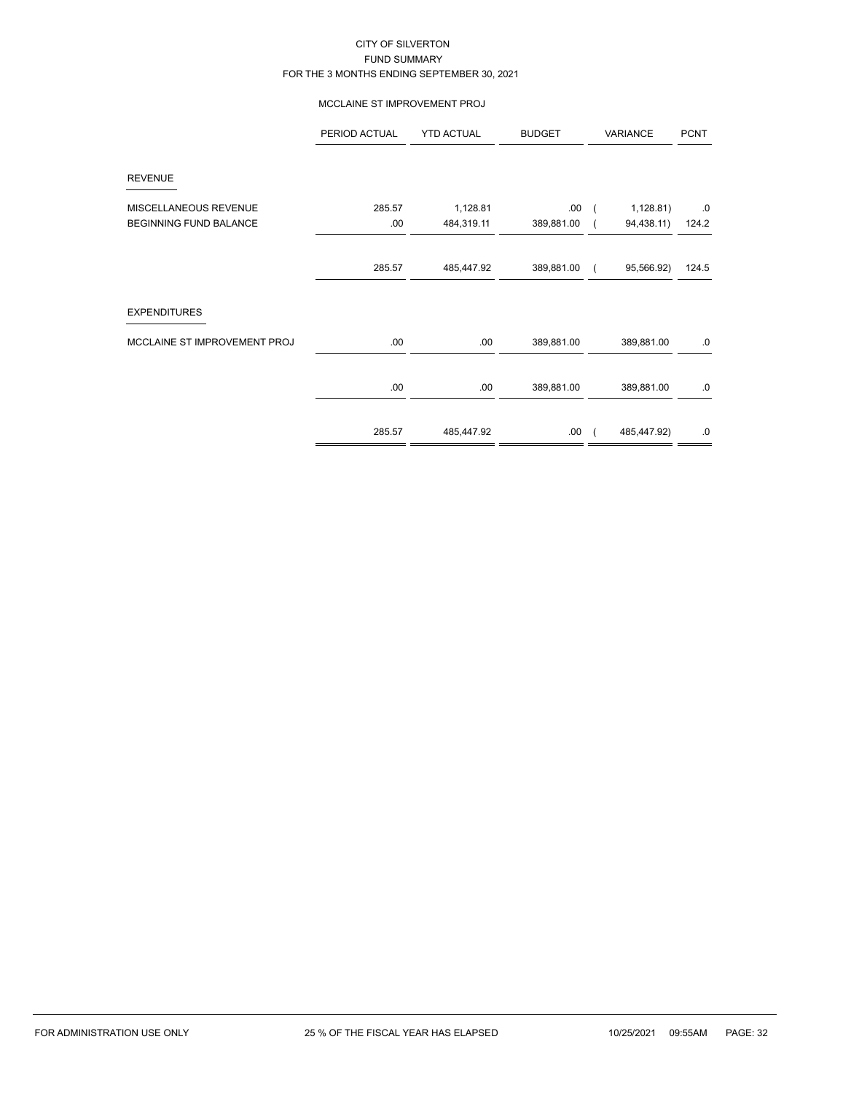### MCCLAINE ST IMPROVEMENT PROJ

|                               | PERIOD ACTUAL | <b>YTD ACTUAL</b> | <b>BUDGET</b> | VARIANCE   |             | <b>PCNT</b> |
|-------------------------------|---------------|-------------------|---------------|------------|-------------|-------------|
| <b>REVENUE</b>                |               |                   |               |            |             |             |
| MISCELLANEOUS REVENUE         | 285.57        | 1,128.81          | .00.          | $\sqrt{2}$ | 1,128.81    | .0          |
| <b>BEGINNING FUND BALANCE</b> | .00           | 484,319.11        | 389,881.00    |            | 94,438.11)  | 124.2       |
|                               |               |                   |               |            |             |             |
|                               | 285.57        | 485,447.92        | 389,881.00    |            | 95,566.92)  | 124.5       |
|                               |               |                   |               |            |             |             |
| <b>EXPENDITURES</b>           |               |                   |               |            |             |             |
| MCCLAINE ST IMPROVEMENT PROJ  | .00.          | .00               | 389,881.00    |            | 389,881.00  | $.0 \,$     |
|                               | .00.          | .00               | 389,881.00    |            | 389,881.00  | .0          |
|                               | 285.57        | 485,447.92        | .00.          | $\sqrt{2}$ | 485,447.92) | $.0\,$      |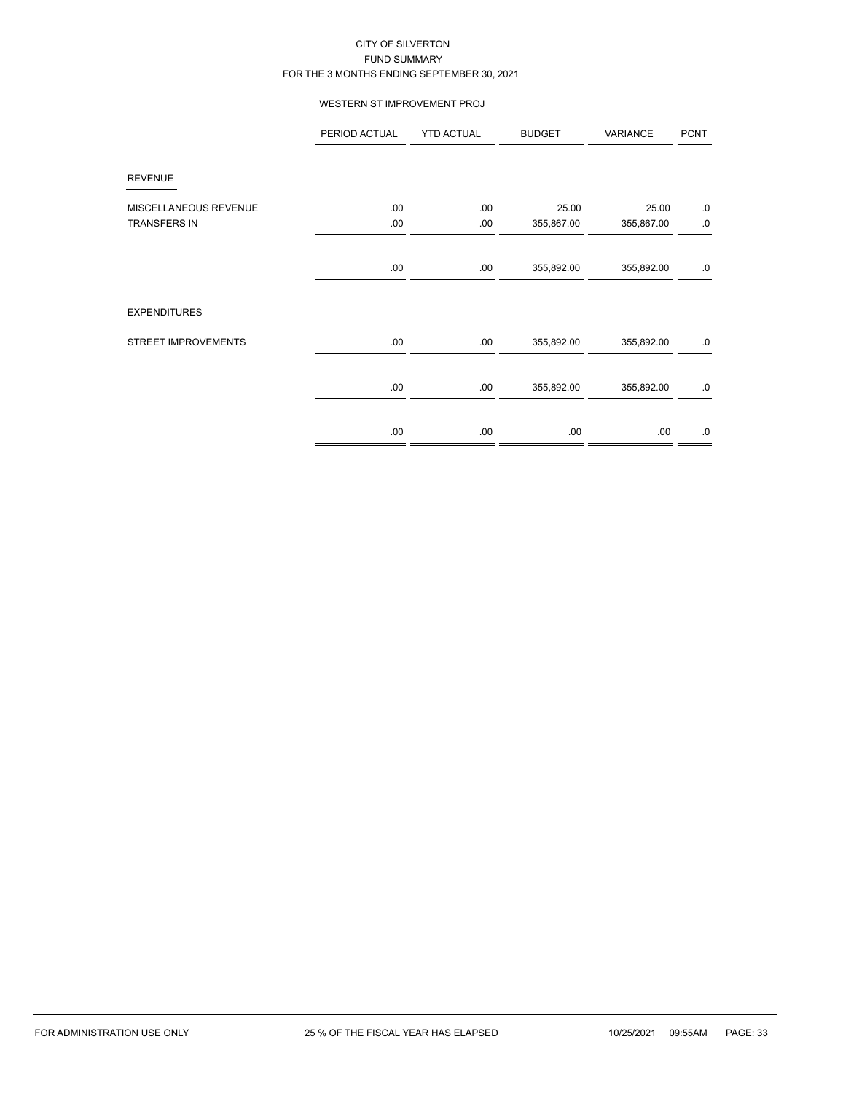## WESTERN ST IMPROVEMENT PROJ

|                            | PERIOD ACTUAL | <b>YTD ACTUAL</b> | <b>BUDGET</b> | VARIANCE   | <b>PCNT</b> |
|----------------------------|---------------|-------------------|---------------|------------|-------------|
| <b>REVENUE</b>             |               |                   |               |            |             |
| MISCELLANEOUS REVENUE      | .00.          | .00.              | 25.00         | 25.00      | 0.          |
| <b>TRANSFERS IN</b>        | .00.          | .00.              | 355,867.00    | 355,867.00 | $\cdot$ 0.  |
|                            | .00.          | .00               | 355,892.00    | 355,892.00 | .0          |
| <b>EXPENDITURES</b>        |               |                   |               |            |             |
| <b>STREET IMPROVEMENTS</b> | .00           | .00               | 355,892.00    | 355,892.00 | 0.          |
|                            | .00.          | .00               | 355,892.00    | 355,892.00 | .0          |
|                            | .00.          | .00.              | .00           | .00        | 0.          |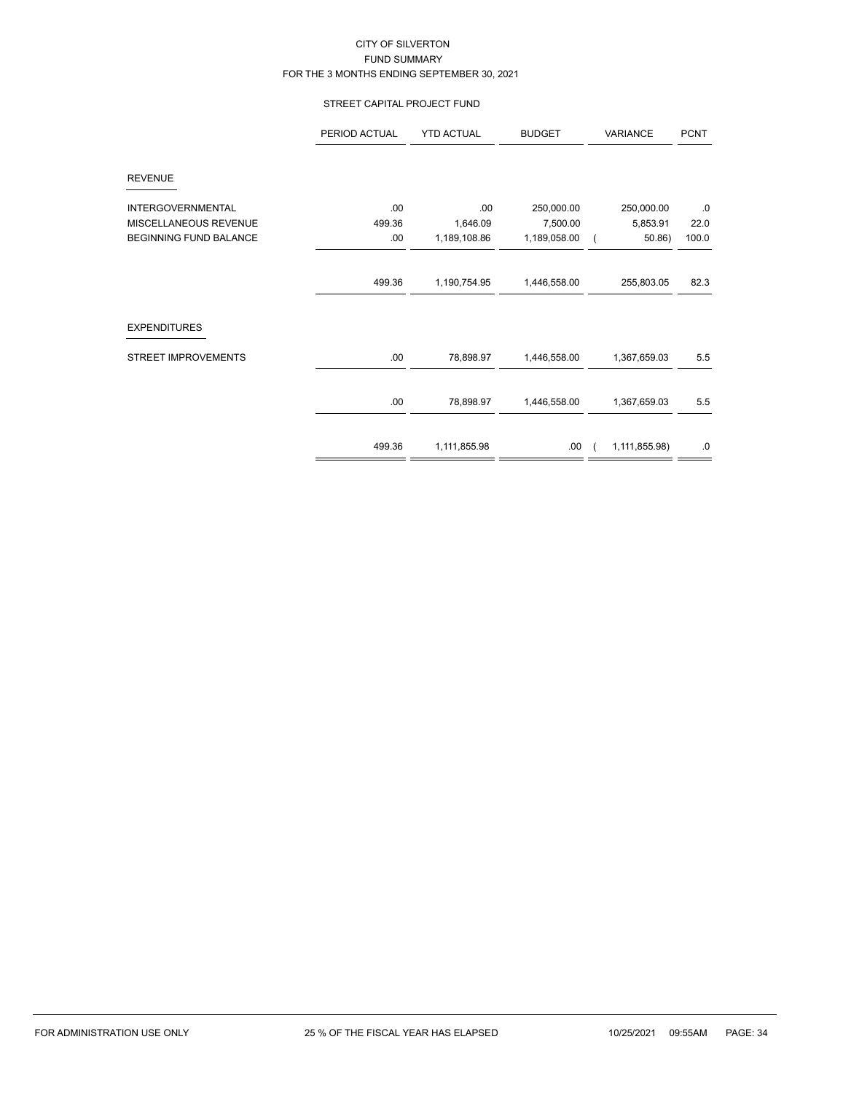# STREET CAPITAL PROJECT FUND

|                               | PERIOD ACTUAL | <b>YTD ACTUAL</b> |              | VARIANCE      | <b>PCNT</b> |
|-------------------------------|---------------|-------------------|--------------|---------------|-------------|
| <b>REVENUE</b>                |               |                   |              |               |             |
| <b>INTERGOVERNMENTAL</b>      | .00           | .00               | 250,000.00   | 250,000.00    | .0          |
| MISCELLANEOUS REVENUE         | 499.36        | 1,646.09          | 7,500.00     | 5,853.91      | 22.0        |
| <b>BEGINNING FUND BALANCE</b> | .00           | 1,189,108.86      | 1,189,058.00 | 50.86)        | 100.0       |
|                               |               |                   |              |               |             |
|                               | 499.36        | 1,190,754.95      | 1,446,558.00 | 255,803.05    | 82.3        |
| <b>EXPENDITURES</b>           |               |                   |              |               |             |
| <b>STREET IMPROVEMENTS</b>    | .00           | 78,898.97         | 1,446,558.00 | 1,367,659.03  | 5.5         |
|                               | .00           | 78,898.97         | 1,446,558.00 | 1,367,659.03  | 5.5         |
|                               |               |                   |              |               |             |
|                               | 499.36        | 1,111,855.98      | .00.         | 1,111,855.98) | .0          |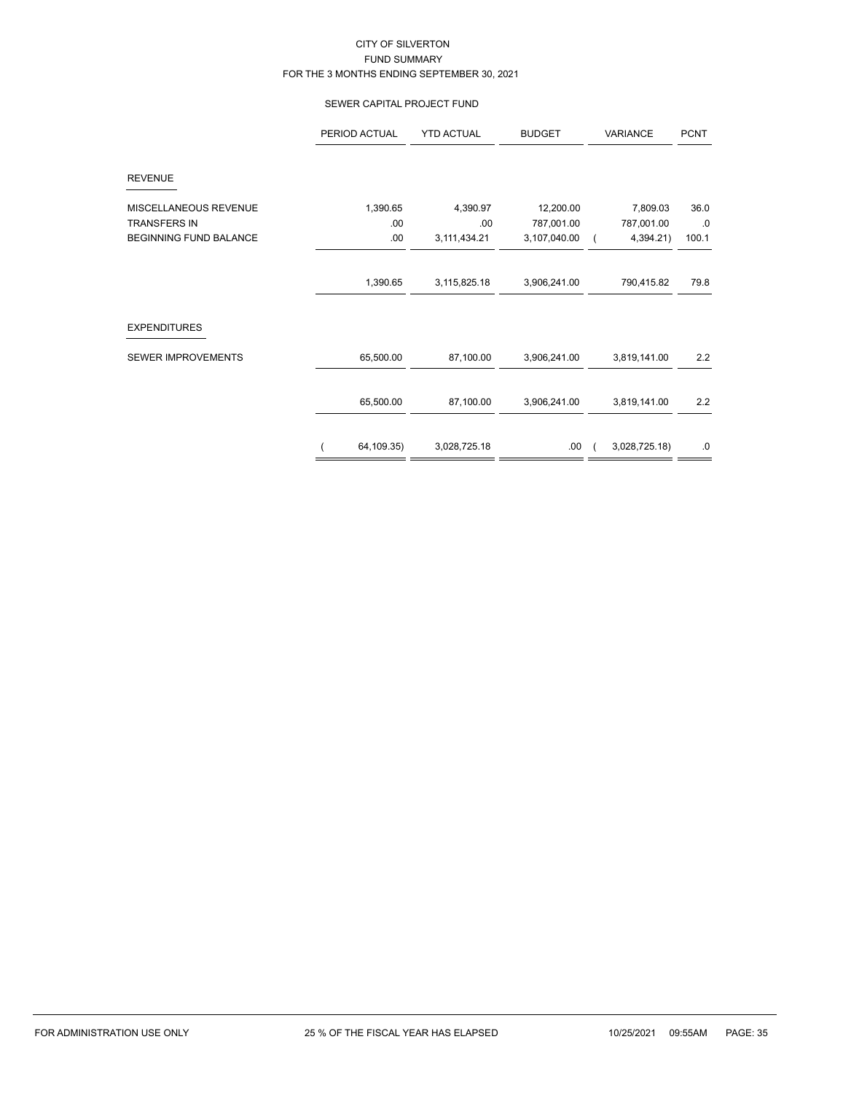## SEWER CAPITAL PROJECT FUND

|                               | PERIOD ACTUAL |             | <b>YTD ACTUAL</b> | <b>BUDGET</b> | VARIANCE      | <b>PCNT</b> |
|-------------------------------|---------------|-------------|-------------------|---------------|---------------|-------------|
| <b>REVENUE</b>                |               |             |                   |               |               |             |
| MISCELLANEOUS REVENUE         |               | 1,390.65    | 4,390.97          | 12,200.00     | 7,809.03      | 36.0        |
| <b>TRANSFERS IN</b>           |               | .00         | .00               | 787,001.00    | 787,001.00    | .0          |
| <b>BEGINNING FUND BALANCE</b> |               | .00         | 3,111,434.21      | 3,107,040.00  | 4,394.21)     | 100.1       |
|                               |               | 1,390.65    | 3,115,825.18      | 3,906,241.00  | 790,415.82    | 79.8        |
| <b>EXPENDITURES</b>           |               |             |                   |               |               |             |
| SEWER IMPROVEMENTS            |               | 65,500.00   | 87,100.00         | 3,906,241.00  | 3,819,141.00  | 2.2         |
|                               |               | 65,500.00   | 87,100.00         | 3,906,241.00  | 3,819,141.00  | 2.2         |
|                               |               | 64, 109.35) | 3,028,725.18      | .00.          | 3,028,725.18) | $.0\,$      |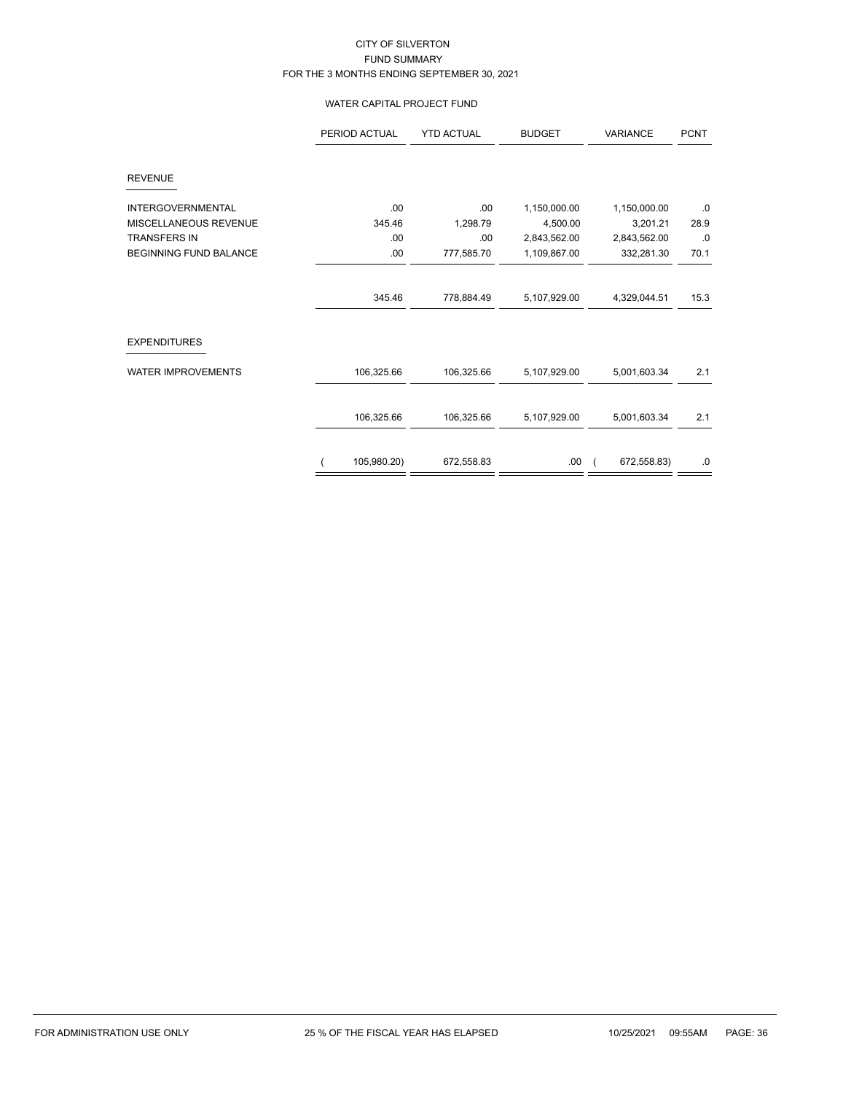## WATER CAPITAL PROJECT FUND

|                               | PERIOD ACTUAL | <b>YTD ACTUAL</b> | <b>BUDGET</b> | VARIANCE     | <b>PCNT</b> |
|-------------------------------|---------------|-------------------|---------------|--------------|-------------|
| <b>REVENUE</b>                |               |                   |               |              |             |
| <b>INTERGOVERNMENTAL</b>      | .00           | .00               | 1,150,000.00  | 1,150,000.00 | .0          |
| MISCELLANEOUS REVENUE         | 345.46        | 1,298.79          | 4,500.00      | 3,201.21     | 28.9        |
| <b>TRANSFERS IN</b>           | .00           | .00               | 2,843,562.00  | 2,843,562.00 | .0          |
| <b>BEGINNING FUND BALANCE</b> | .00.          | 777,585.70        | 1,109,867.00  | 332,281.30   | 70.1        |
|                               | 345.46        | 778,884.49        | 5,107,929.00  | 4,329,044.51 | 15.3        |
| <b>EXPENDITURES</b>           |               |                   |               |              |             |
| WATER IMPROVEMENTS            | 106,325.66    | 106,325.66        | 5,107,929.00  | 5,001,603.34 | 2.1         |
|                               | 106,325.66    | 106,325.66        | 5,107,929.00  | 5,001,603.34 | 2.1         |
|                               | 105,980.20)   | 672,558.83        | .00.          | 672,558.83)  | .0          |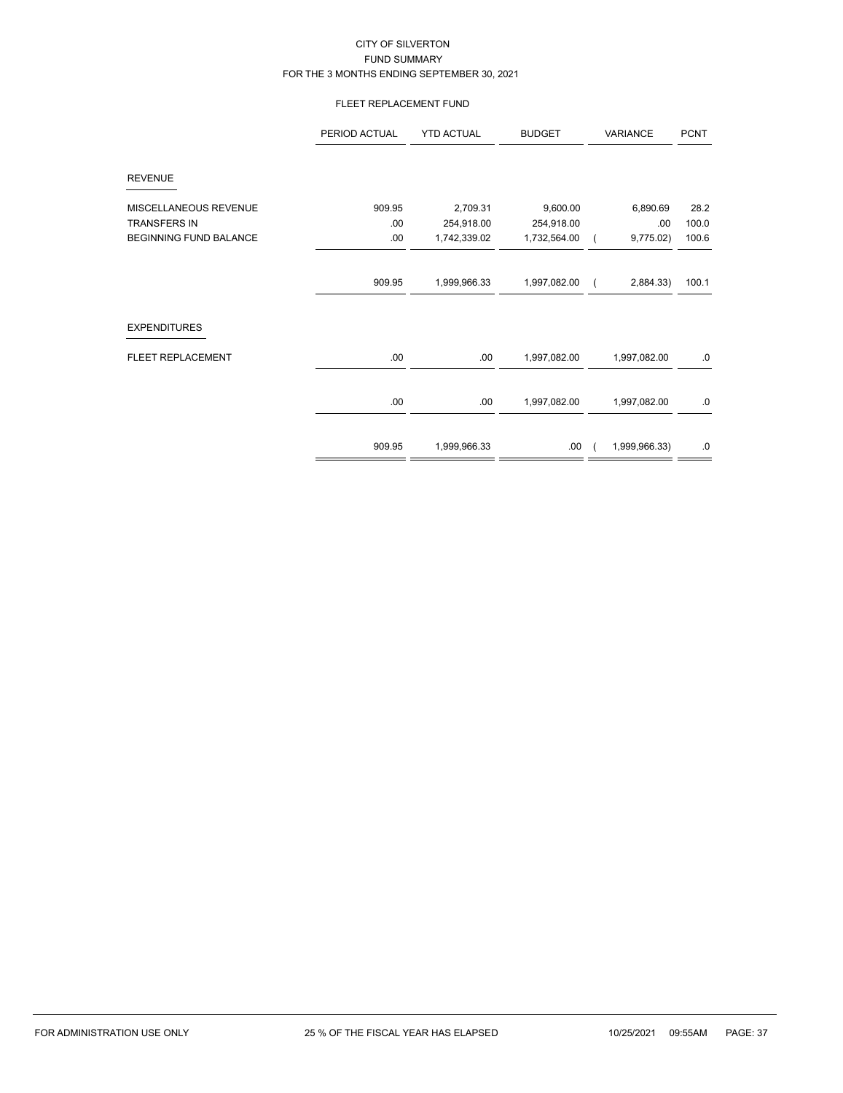# FLEET REPLACEMENT FUND

|                               | PERIOD ACTUAL | <b>YTD ACTUAL</b> | <b>BUDGET</b> | VARIANCE      | <b>PCNT</b> |
|-------------------------------|---------------|-------------------|---------------|---------------|-------------|
| <b>REVENUE</b>                |               |                   |               |               |             |
| MISCELLANEOUS REVENUE         | 909.95        | 2,709.31          | 9,600.00      | 6,890.69      | 28.2        |
| <b>TRANSFERS IN</b>           | .00           | 254,918.00        | 254,918.00    | .00.          | 100.0       |
| <b>BEGINNING FUND BALANCE</b> | .00           | 1,742,339.02      | 1,732,564.00  | 9,775.02)     | 100.6       |
|                               | 909.95        | 1,999,966.33      | 1,997,082.00  | 2,884.33)     | 100.1       |
| <b>EXPENDITURES</b>           |               |                   |               |               |             |
| FLEET REPLACEMENT             | .00           | .00               | 1,997,082.00  | 1,997,082.00  | 0.          |
|                               | .00           | .00               | 1,997,082.00  | 1,997,082.00  | 0.          |
|                               |               |                   |               |               |             |
|                               | 909.95        | 1,999,966.33      | .00           | 1,999,966.33) | .0          |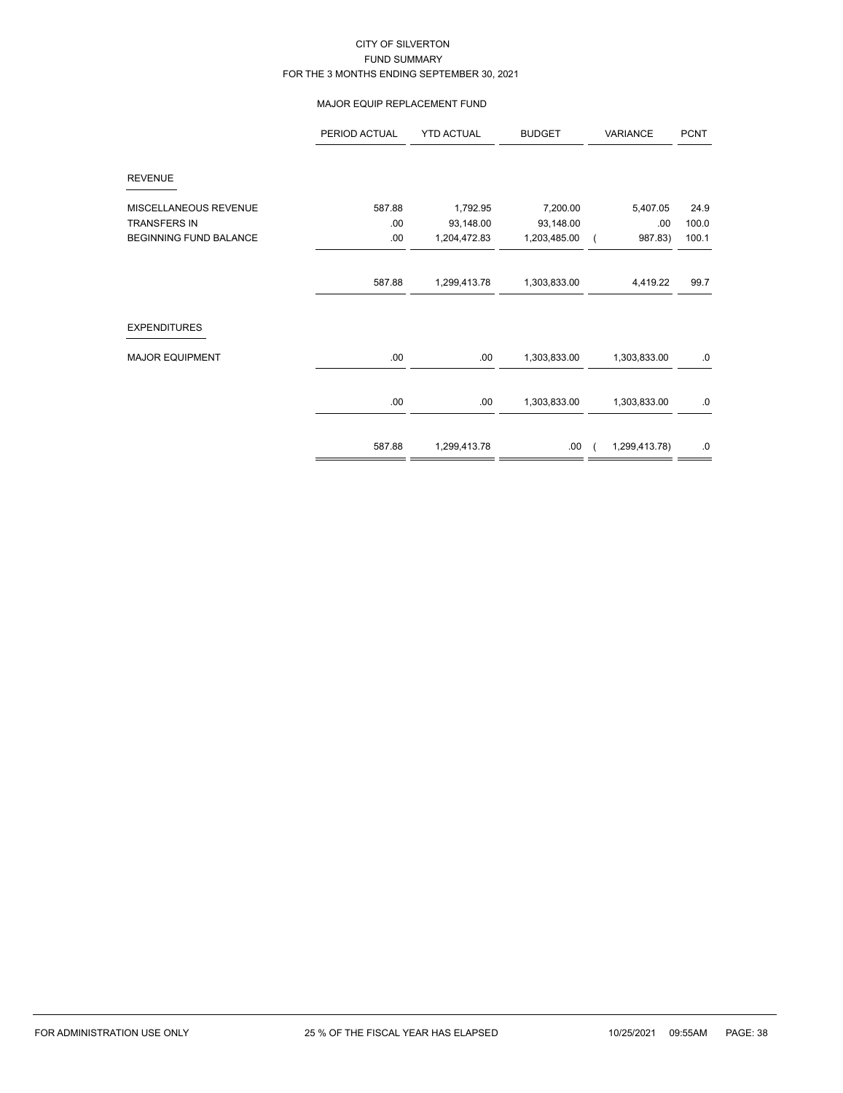### MAJOR EQUIP REPLACEMENT FUND

|                               | PERIOD ACTUAL | <b>YTD ACTUAL</b> | <b>BUDGET</b> | VARIANCE      | <b>PCNT</b> |
|-------------------------------|---------------|-------------------|---------------|---------------|-------------|
| <b>REVENUE</b>                |               |                   |               |               |             |
| MISCELLANEOUS REVENUE         | 587.88        | 1,792.95          | 7,200.00      | 5,407.05      | 24.9        |
| <b>TRANSFERS IN</b>           | .00           | 93,148.00         | 93,148.00     | .00           | 100.0       |
| <b>BEGINNING FUND BALANCE</b> | .00           | 1,204,472.83      | 1,203,485.00  | 987.83)       | 100.1       |
|                               | 587.88        | 1,299,413.78      | 1,303,833.00  | 4,419.22      | 99.7        |
| <b>EXPENDITURES</b>           |               |                   |               |               |             |
| <b>MAJOR EQUIPMENT</b>        | .00           | .00               | 1,303,833.00  | 1,303,833.00  | 0.          |
|                               | .00           | .00               | 1,303,833.00  | 1,303,833.00  | 0.          |
|                               |               |                   |               |               |             |
|                               | 587.88        | 1,299,413.78      | .00           | 1,299,413.78) | .0          |